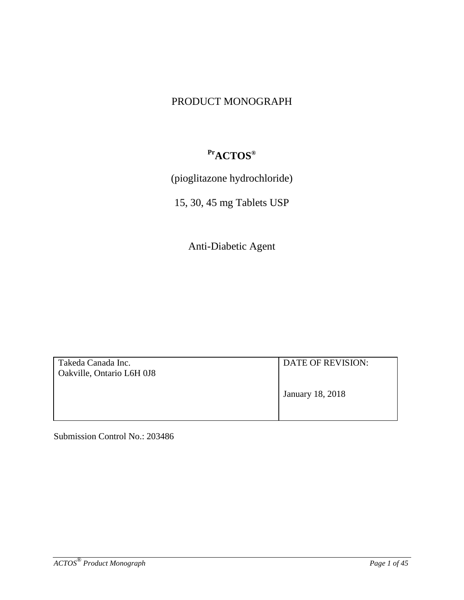## PRODUCT MONOGRAPH

# **PrACTOS®**

(pioglitazone hydrochloride)

15, 30, 45 mg Tablets USP

Anti-Diabetic Agent

| Takeda Canada Inc.<br>Oakville, Ontario L6H 0J8 | DATE OF REVISION: |
|-------------------------------------------------|-------------------|
|                                                 | January 18, 2018  |

Submission Control No.: 203486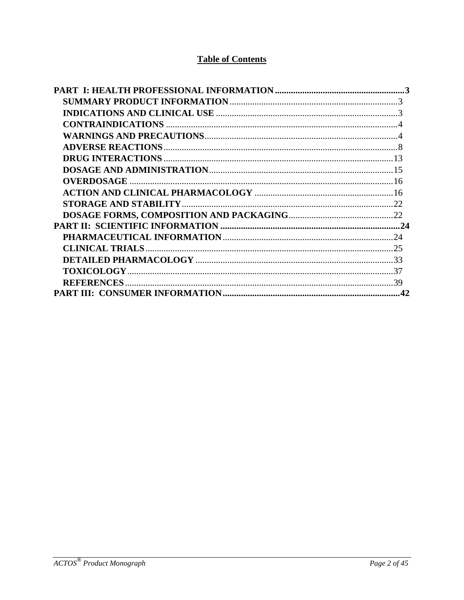## **Table of Contents**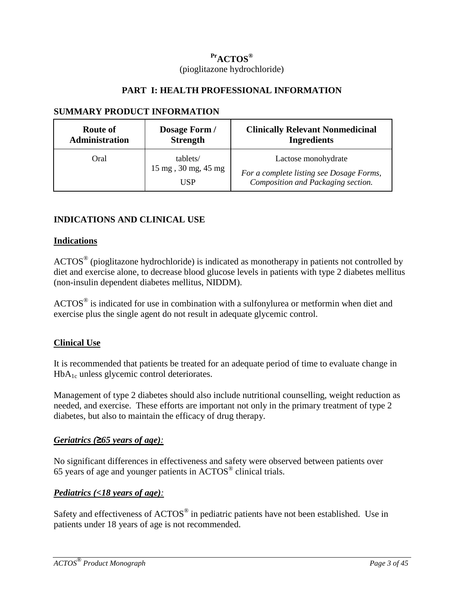## **PrACTOS®** (pioglitazone hydrochloride)

#### **PART I: HEALTH PROFESSIONAL INFORMATION**

#### <span id="page-2-1"></span><span id="page-2-0"></span>**SUMMARY PRODUCT INFORMATION**

| Route of              | Dosage Form /                          | <b>Clinically Relevant Nonmedicinal</b>                                                               |
|-----------------------|----------------------------------------|-------------------------------------------------------------------------------------------------------|
| <b>Administration</b> | <b>Strength</b>                        | <b>Ingredients</b>                                                                                    |
| Oral                  | tablets/<br>15 mg, 30 mg, 45 mg<br>USP | Lactose monohydrate<br>For a complete listing see Dosage Forms,<br>Composition and Packaging section. |

### <span id="page-2-2"></span>**INDICATIONS AND CLINICAL USE**

#### **Indications**

ACTOS® (pioglitazone hydrochloride) is indicated as monotherapy in patients not controlled by diet and exercise alone, to decrease blood glucose levels in patients with type 2 diabetes mellitus (non-insulin dependent diabetes mellitus, NIDDM).

ACTOS<sup>®</sup> is indicated for use in combination with a sulfonylurea or metformin when diet and exercise plus the single agent do not result in adequate glycemic control.

#### **Clinical Use**

It is recommended that patients be treated for an adequate period of time to evaluate change in  $HbA_{1c}$  unless glycemic control deteriorates.

Management of type 2 diabetes should also include nutritional counselling, weight reduction as needed, and exercise. These efforts are important not only in the primary treatment of type 2 diabetes, but also to maintain the efficacy of drug therapy.

#### *Geriatrics (≥65 years of age):*

No significant differences in effectiveness and safety were observed between patients over 65 years of age and younger patients in ACTOS® clinical trials.

#### *Pediatrics (<18 years of age):*

Safety and effectiveness of ACTOS<sup>®</sup> in pediatric patients have not been established. Use in patients under 18 years of age is not recommended.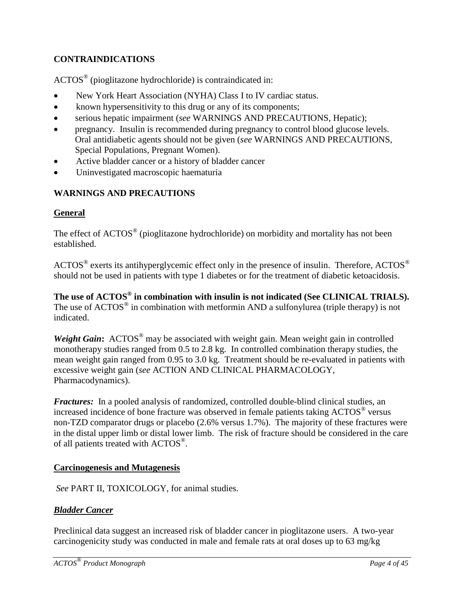### <span id="page-3-0"></span>**CONTRAINDICATIONS**

ACTOS® (pioglitazone hydrochloride) is contraindicated in:

- New York Heart Association (NYHA) Class I to IV cardiac status.
- known hypersensitivity to this drug or any of its components;
- serious hepatic impairment (*see* WARNINGS AND PRECAUTIONS, Hepatic);
- pregnancy. Insulin is recommended during pregnancy to control blood glucose levels. Oral antidiabetic agents should not be given (*see* WARNINGS AND PRECAUTIONS, Special Populations, Pregnant Women).
- Active bladder cancer or a history of bladder cancer
- Uninvestigated macroscopic haematuria

### <span id="page-3-1"></span>**WARNINGS AND PRECAUTIONS**

#### **General**

The effect of ACTOS<sup>®</sup> (pioglitazone hydrochloride) on morbidity and mortality has not been established.

ACTOS<sup>®</sup> exerts its antihyperglycemic effect only in the presence of insulin. Therefore, ACTOS<sup>®</sup> should not be used in patients with type 1 diabetes or for the treatment of diabetic ketoacidosis.

**The use of ACTOS® in combination with insulin is not indicated (See CLINICAL TRIALS).**  The use of  $\text{ACTOS}^{\circledast}$  in combination with metformin AND a sulfonylurea (triple therapy) is not indicated.

*Weight Gain*: ACTOS<sup>®</sup> may be associated with weight gain. Mean weight gain in controlled monotherapy studies ranged from 0.5 to 2.8 kg. In controlled combination therapy studies, the mean weight gain ranged from 0.95 to 3.0 kg. Treatment should be re-evaluated in patients with excessive weight gain (*see* ACTION AND CLINICAL PHARMACOLOGY, Pharmacodynamics).

*Fractures:* In a pooled analysis of randomized, controlled double-blind clinical studies, an increased incidence of bone fracture was observed in female patients taking ACTOS<sup>®</sup> versus non-TZD comparator drugs or placebo (2.6% versus 1.7%). The majority of these fractures were in the distal upper limb or distal lower limb. The risk of fracture should be considered in the care of all patients treated with ACTOS®.

#### **Carcinogenesis and Mutagenesis**

*See* PART II, TOXICOLOGY, for animal studies.

#### *Bladder Cancer*

Preclinical data suggest an increased risk of bladder cancer in pioglitazone users. A two-year carcinogenicity study was conducted in male and female rats at oral doses up to 63 mg/kg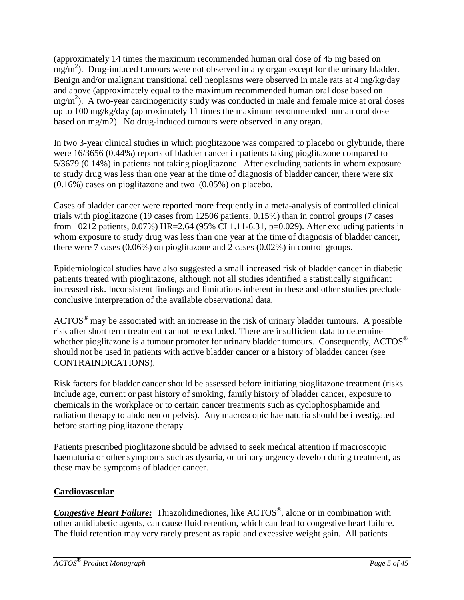(approximately 14 times the maximum recommended human oral dose of 45 mg based on  $\text{mg/m}^2$ ). Drug-induced tumours were not observed in any organ except for the urinary bladder. Benign and/or malignant transitional cell neoplasms were observed in male rats at 4 mg/kg/day and above (approximately equal to the maximum recommended human oral dose based on  $mg/m<sup>2</sup>$ ). A two-year carcinogenicity study was conducted in male and female mice at oral doses up to 100 mg/kg/day (approximately 11 times the maximum recommended human oral dose based on mg/m2). No drug-induced tumours were observed in any organ.

In two 3-year clinical studies in which pioglitazone was compared to placebo or glyburide, there were 16/3656 (0.44%) reports of bladder cancer in patients taking pioglitazone compared to 5/3679 (0.14%) in patients not taking pioglitazone. After excluding patients in whom exposure to study drug was less than one year at the time of diagnosis of bladder cancer, there were six (0.16%) cases on pioglitazone and two (0.05%) on placebo.

Cases of bladder cancer were reported more frequently in a meta-analysis of controlled clinical trials with pioglitazone (19 cases from 12506 patients, 0.15%) than in control groups (7 cases from 10212 patients, 0.07%) HR=2.64 (95% CI 1.11-6.31, p=0.029). After excluding patients in whom exposure to study drug was less than one year at the time of diagnosis of bladder cancer, there were 7 cases (0.06%) on pioglitazone and 2 cases (0.02%) in control groups.

Epidemiological studies have also suggested a small increased risk of bladder cancer in diabetic patients treated with pioglitazone, although not all studies identified a statistically significant increased risk. Inconsistent findings and limitations inherent in these and other studies preclude conclusive interpretation of the available observational data.

 $\text{ACTOS}^{\otimes}$  may be associated with an increase in the risk of urinary bladder tumours. A possible risk after short term treatment cannot be excluded. There are insufficient data to determine whether pioglitazone is a tumour promoter for urinary bladder tumours. Consequently,  $\text{ACTOS}^{\circledcirc}$ should not be used in patients with active bladder cancer or a history of bladder cancer (see CONTRAINDICATIONS).

Risk factors for bladder cancer should be assessed before initiating pioglitazone treatment (risks include age, current or past history of smoking, family history of bladder cancer, exposure to chemicals in the workplace or to certain cancer treatments such as cyclophosphamide and radiation therapy to abdomen or pelvis). Any macroscopic haematuria should be investigated before starting pioglitazone therapy.

Patients prescribed pioglitazone should be advised to seek medical attention if macroscopic haematuria or other symptoms such as dysuria, or urinary urgency develop during treatment, as these may be symptoms of bladder cancer.

### **Cardiovascular**

*Congestive Heart Failure:* Thiazolidinediones, like ACTOS<sup>®</sup>, alone or in combination with other antidiabetic agents, can cause fluid retention, which can lead to congestive heart failure. The fluid retention may very rarely present as rapid and excessive weight gain. All patients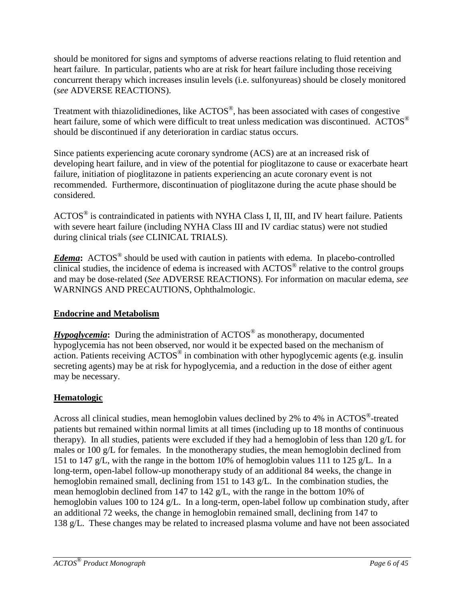should be monitored for signs and symptoms of adverse reactions relating to fluid retention and heart failure. In particular, patients who are at risk for heart failure including those receiving concurrent therapy which increases insulin levels (i.e. sulfonyureas) should be closely monitored (*see* ADVERSE REACTIONS).

Treatment with thiazolidinediones, like ACTOS®, has been associated with cases of congestive heart failure, some of which were difficult to treat unless medication was discontinued. ACTOS<sup>®</sup> should be discontinued if any deterioration in cardiac status occurs.

Since patients experiencing acute coronary syndrome (ACS) are at an increased risk of developing heart failure, and in view of the potential for pioglitazone to cause or exacerbate heart failure, initiation of pioglitazone in patients experiencing an acute coronary event is not recommended. Furthermore, discontinuation of pioglitazone during the acute phase should be considered.

ACTOS® is contraindicated in patients with NYHA Class I, II, III, and IV heart failure. Patients with severe heart failure (including NYHA Class III and IV cardiac status) were not studied during clinical trials (*see* CLINICAL TRIALS).

*Edema***:** ACTOS® should be used with caution in patients with edema. In placebo-controlled clinical studies, the incidence of edema is increased with ACTOS® relative to the control groups and may be dose-related (*See* ADVERSE REACTIONS). For information on macular edema, *see*  WARNINGS AND PRECAUTIONS, Ophthalmologic.

### **Endocrine and Metabolism**

*Hypoglycemia*: During the administration of ACTOS<sup>®</sup> as monotherapy, documented hypoglycemia has not been observed, nor would it be expected based on the mechanism of action. Patients receiving ACTOS<sup>®</sup> in combination with other hypoglycemic agents (e.g. insulin secreting agents) may be at risk for hypoglycemia, and a reduction in the dose of either agent may be necessary.

## **Hematologic**

Across all clinical studies, mean hemoglobin values declined by 2% to 4% in ACTOS<sup>®</sup>-treated patients but remained within normal limits at all times (including up to 18 months of continuous therapy). In all studies, patients were excluded if they had a hemoglobin of less than 120 g/L for males or 100 g/L for females. In the monotherapy studies, the mean hemoglobin declined from 151 to 147 g/L, with the range in the bottom 10% of hemoglobin values 111 to 125 g/L. In a long-term, open-label follow-up monotherapy study of an additional 84 weeks, the change in hemoglobin remained small, declining from 151 to 143 g/L. In the combination studies, the mean hemoglobin declined from 147 to 142 g/L, with the range in the bottom 10% of hemoglobin values 100 to 124 g/L. In a long-term, open-label follow up combination study, after an additional 72 weeks, the change in hemoglobin remained small, declining from 147 to 138 g/L. These changes may be related to increased plasma volume and have not been associated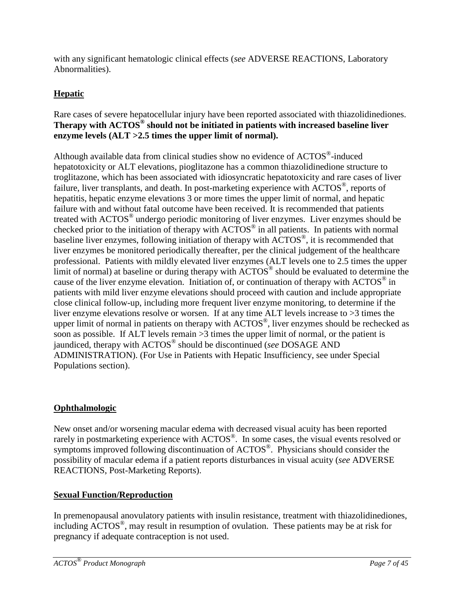with any significant hematologic clinical effects (*see* ADVERSE REACTIONS, Laboratory Abnormalities).

## **Hepatic**

#### Rare cases of severe hepatocellular injury have been reported associated with thiazolidinediones. **Therapy with ACTOS® should not be initiated in patients with increased baseline liver enzyme levels (ALT >2.5 times the upper limit of normal).**

Although available data from clinical studies show no evidence of ACTOS®-induced hepatotoxicity or ALT elevations, pioglitazone has a common thiazolidinedione structure to troglitazone, which has been associated with idiosyncratic hepatotoxicity and rare cases of liver failure, liver transplants, and death. In post-marketing experience with ACTOS<sup>®</sup>, reports of hepatitis, hepatic enzyme elevations 3 or more times the upper limit of normal, and hepatic failure with and without fatal outcome have been received. It is recommended that patients treated with ACTOS® undergo periodic monitoring of liver enzymes. Liver enzymes should be checked prior to the initiation of therapy with  $\angle ACTOS^{\circledcirc}$  in all patients. In patients with normal baseline liver enzymes, following initiation of therapy with  $\angle$ ACTOS<sup>®</sup>, it is recommended that liver enzymes be monitored periodically thereafter, per the clinical judgement of the healthcare professional. Patients with mildly elevated liver enzymes (ALT levels one to 2.5 times the upper limit of normal) at baseline or during therapy with  $\text{ACTOS}^{\circledcirc}$  should be evaluated to determine the cause of the liver enzyme elevation. Initiation of, or continuation of therapy with  $\text{ACTOS}^{\circledast}$  in patients with mild liver enzyme elevations should proceed with caution and include appropriate close clinical follow-up, including more frequent liver enzyme monitoring, to determine if the liver enzyme elevations resolve or worsen. If at any time ALT levels increase to >3 times the upper limit of normal in patients on therapy with  $\angle ACTOS^{\circledast}$ , liver enzymes should be rechecked as soon as possible. If ALT levels remain  $>3$  times the upper limit of normal, or the patient is jaundiced, therapy with ACTOS® should be discontinued (*see* DOSAGE AND ADMINISTRATION). (For Use in Patients with Hepatic Insufficiency, see under Special Populations section).

### **Ophthalmologic**

New onset and/or worsening macular edema with decreased visual acuity has been reported rarely in postmarketing experience with ACTOS<sup>®</sup>. In some cases, the visual events resolved or symptoms improved following discontinuation of ACTOS<sup>®</sup>. Physicians should consider the possibility of macular edema if a patient reports disturbances in visual acuity (*see* ADVERSE REACTIONS, Post-Marketing Reports).

### **Sexual Function/Reproduction**

In premenopausal anovulatory patients with insulin resistance, treatment with thiazolidinediones, including ACTOS®, may result in resumption of ovulation. These patients may be at risk for pregnancy if adequate contraception is not used.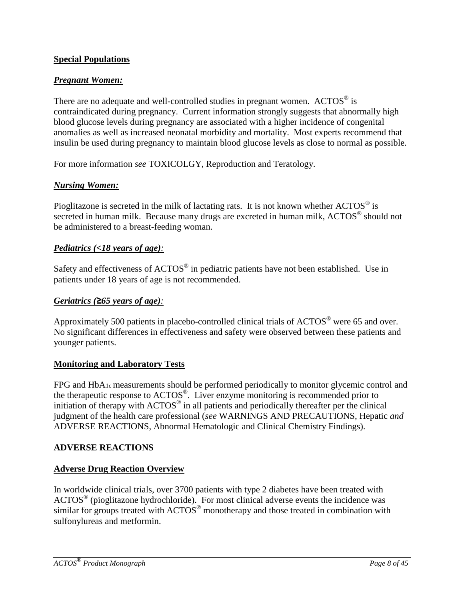#### **Special Populations**

#### *Pregnant Women:*

There are no adequate and well-controlled studies in pregnant women.  $\angle ACTOS^{\circledcirc}$  is contraindicated during pregnancy. Current information strongly suggests that abnormally high blood glucose levels during pregnancy are associated with a higher incidence of congenital anomalies as well as increased neonatal morbidity and mortality. Most experts recommend that insulin be used during pregnancy to maintain blood glucose levels as close to normal as possible.

For more information *see* TOXICOLGY, Reproduction and Teratology.

### *Nursing Women:*

Pioglitazone is secreted in the milk of lactating rats. It is not known whether ACTOS<sup>®</sup> is secreted in human milk. Because many drugs are excreted in human milk, ACTOS<sup>®</sup> should not be administered to a breast-feeding woman.

#### *Pediatrics (<18 years of age):*

Safety and effectiveness of ACTOS<sup>®</sup> in pediatric patients have not been established. Use in patients under 18 years of age is not recommended.

#### *Geriatrics (≥65 years of age):*

Approximately 500 patients in placebo-controlled clinical trials of  $\text{ACTOS}^{\circledcirc}$  were 65 and over. No significant differences in effectiveness and safety were observed between these patients and younger patients.

#### **Monitoring and Laboratory Tests**

FPG and HbA1c measurements should be performed periodically to monitor glycemic control and the therapeutic response to ACTOS®. Liver enzyme monitoring is recommended prior to initiation of therapy with  $\text{ACTOS}^{\circledast}$  in all patients and periodically thereafter per the clinical judgment of the health care professional (*see* WARNINGS AND PRECAUTIONS, Hepatic *and* ADVERSE REACTIONS, Abnormal Hematologic and Clinical Chemistry Findings).

### <span id="page-7-0"></span>**ADVERSE REACTIONS**

#### **Adverse Drug Reaction Overview**

In worldwide clinical trials, over 3700 patients with type 2 diabetes have been treated with  $\text{ACTOS}^{\circledast}$  (pioglitazone hydrochloride). For most clinical adverse events the incidence was similar for groups treated with  $\text{ACTOS}^{\circledast}$  monotherapy and those treated in combination with sulfonylureas and metformin.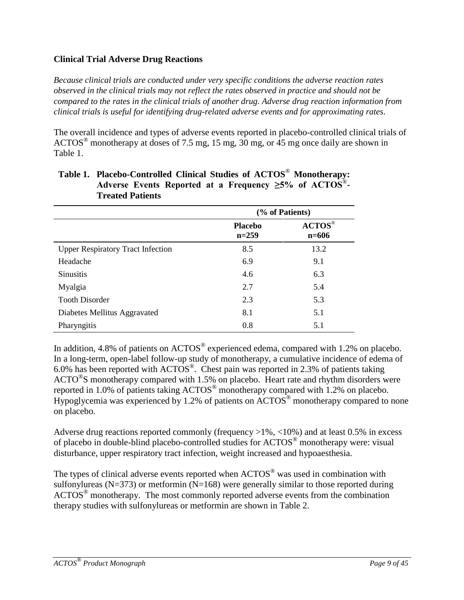### **Clinical Trial Adverse Drug Reactions**

*Because clinical trials are conducted under very specific conditions the adverse reaction rates observed in the clinical trials may not reflect the rates observed in practice and should not be compared to the rates in the clinical trials of another drug. Adverse drug reaction information from clinical trials is useful for identifying drug-related adverse events and for approximating rates*.

The overall incidence and types of adverse events reported in placebo-controlled clinical trials of  $\text{ACTOS}^{\circledast}$  monotherapy at doses of 7.5 mg, 15 mg, 30 mg, or 45 mg once daily are shown in Table 1.

|                                          | (% of Patients)           |                                                                                 |  |
|------------------------------------------|---------------------------|---------------------------------------------------------------------------------|--|
|                                          | <b>Placebo</b><br>$n=259$ | $\mathbf{A}\mathbf{C}\mathbf{T}\mathbf{O}\mathbf{S}^{\circledast}$<br>$n = 606$ |  |
| <b>Upper Respiratory Tract Infection</b> | 8.5                       | 13.2                                                                            |  |
| Headache                                 | 6.9                       | 9.1                                                                             |  |
| <b>Sinusitis</b>                         | 4.6                       | 6.3                                                                             |  |
| Myalgia                                  | 2.7                       | 5.4                                                                             |  |
| <b>Tooth Disorder</b>                    | 2.3                       | 5.3                                                                             |  |
| Diabetes Mellitus Aggravated             | 8.1                       | 5.1                                                                             |  |
| Pharyngitis                              | 0.8                       | 5.1                                                                             |  |

### **Table 1. Placebo-Controlled Clinical Studies of ACTOS**® **Monotherapy: Adverse Events Reported at a Frequency ≥5% of ACTOS**®**- Treated Patients**

In addition, 4.8% of patients on ACTOS<sup>®</sup> experienced edema, compared with 1.2% on placebo. In a long-term, open-label follow-up study of monotherapy, a cumulative incidence of edema of 6.0% has been reported with  $\text{ACTOS}^{\circledcirc}$ . Chest pain was reported in 2.3% of patients taking  $\text{ACTO}^{\circledcirc}\text{S}$  monotherapy compared with 1.5% on placebo. Heart rate and rhythm disorders were reported in 1.0% of patients taking ACTOS® monotherapy compared with 1.2% on placebo. Hypoglycemia was experienced by 1.2% of patients on  $\rm ACTOS^{\circledast}$  monotherapy compared to none on placebo.

Adverse drug reactions reported commonly (frequency >1%, <10%) and at least 0.5% in excess of placebo in double-blind placebo-controlled studies for ACTOS® monotherapy were: visual disturbance, upper respiratory tract infection, weight increased and hypoaesthesia.

The types of clinical adverse events reported when ACTOS<sup>®</sup> was used in combination with sulfonylureas ( $N=373$ ) or metformin ( $N=168$ ) were generally similar to those reported during  $\text{ACTOS}^{\circledast}$  monotherapy. The most commonly reported adverse events from the combination therapy studies with sulfonylureas or metformin are shown in Table 2.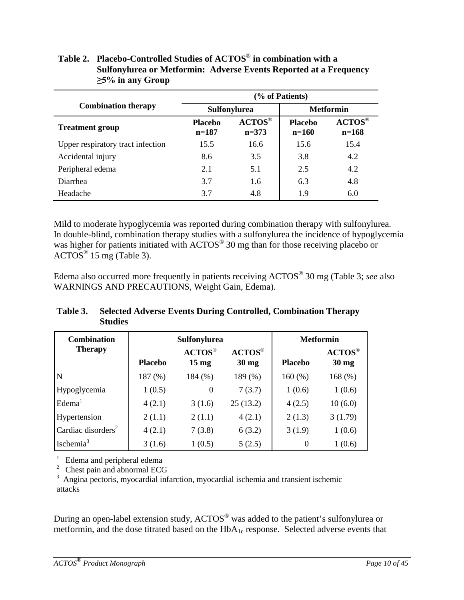|                                   | (% of Patients)           |                                                                               |                           |                                                                                 |  |
|-----------------------------------|---------------------------|-------------------------------------------------------------------------------|---------------------------|---------------------------------------------------------------------------------|--|
| <b>Combination therapy</b>        |                           | <b>Sulfonylurea</b>                                                           | <b>Metformin</b>          |                                                                                 |  |
| <b>Treatment group</b>            | <b>Placebo</b><br>$n=187$ | $\mathbf{A}\mathbf{C}\mathbf{T}\mathbf{O}\mathbf{S}^{\circledast}$<br>$n=373$ | <b>Placebo</b><br>$n=160$ | $\mathbf{A}\mathbf{C}\mathbf{T}\mathbf{O}\mathbf{S}^{\circledast}$<br>$n = 168$ |  |
| Upper respiratory tract infection | 15.5                      | 16.6                                                                          | 15.6                      | 15.4                                                                            |  |
| Accidental injury                 | 8.6                       | 3.5                                                                           | 3.8                       | 4.2                                                                             |  |
| Peripheral edema                  | 2.1                       | 5.1                                                                           | 2.5                       | 4.2                                                                             |  |
| Diarrhea                          | 3.7                       | 1.6                                                                           | 6.3                       | 4.8                                                                             |  |
| Headache                          | 3.7                       | 4.8                                                                           | 1.9                       | 6.0                                                                             |  |

### **Table 2. Placebo-Controlled Studies of ACTOS**® **in combination with a Sulfonylurea or Metformin: Adverse Events Reported at a Frequency ≥5% in any Group**

Mild to moderate hypoglycemia was reported during combination therapy with sulfonylurea. In double-blind, combination therapy studies with a sulfonylurea the incidence of hypoglycemia was higher for patients initiated with ACTOS<sup>®</sup> 30 mg than for those receiving placebo or  $\angle$ ACTOS<sup>®</sup> 15 mg (Table 3).

Edema also occurred more frequently in patients receiving ACTOS® 30 mg (Table 3; *see* also WARNINGS AND PRECAUTIONS, Weight Gain, Edema).

### **Table 3. Selected Adverse Events During Controlled, Combination Therapy Studies**

| <b>Combination</b>             | <b>Sulfonylurea</b> |                                                                                        |                                               | <b>Metformin</b> |                                               |
|--------------------------------|---------------------|----------------------------------------------------------------------------------------|-----------------------------------------------|------------------|-----------------------------------------------|
| <b>Therapy</b>                 | <b>Placebo</b>      | $\mathbf{A}\mathbf{C}\mathbf{T}\mathbf{O}\mathbf{S}^{\circledcirc}$<br>$15 \text{ mg}$ | $\text{ACTOS}^{\circledR}$<br>$30 \text{ mg}$ | <b>Placebo</b>   | $\text{ACTOS}^{\circledR}$<br>$30 \text{ mg}$ |
| N                              | 187(%)              | 184(%)                                                                                 | 189 (%)                                       | 160(%)           | 168 $(\%)$                                    |
| Hypoglycemia                   | 1(0.5)              | $\theta$                                                                               | 7(3.7)                                        | 1(0.6)           | 1(0.6)                                        |
| Edema <sup>1</sup>             | 4(2.1)              | 3(1.6)                                                                                 | 25(13.2)                                      | 4(2.5)           | 10(6.0)                                       |
| Hypertension                   | 2(1.1)              | 2(1.1)                                                                                 | 4(2.1)                                        | 2(1.3)           | 3(1.79)                                       |
| Cardiac disorders <sup>2</sup> | 4(2.1)              | 7(3.8)                                                                                 | 6(3.2)                                        | 3(1.9)           | 1(0.6)                                        |
| Ischemia <sup>3</sup>          | 3(1.6)              | 1(0.5)                                                                                 | 5(2.5)                                        | $\theta$         | 1(0.6)                                        |

<sup>1</sup> Edema and peripheral edema<br><sup>2</sup> Chest pain and abnormal ECG

<sup>3</sup> Angina pectoris, myocardial infarction, myocardial ischemia and transient ischemic attacks

During an open-label extension study, ACTOS® was added to the patient's sulfonylurea or metformin, and the dose titrated based on the  $HbA_{1c}$  response. Selected adverse events that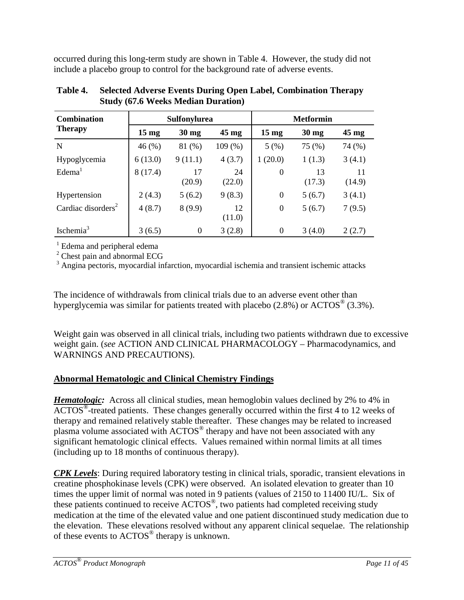occurred during this long-term study are shown in Table 4. However, the study did not include a placebo group to control for the background rate of adverse events.

| <b>Combination</b>             | <b>Sulfonylurea</b> |                 |                 | <b>Metformin</b> |                 |                 |
|--------------------------------|---------------------|-----------------|-----------------|------------------|-----------------|-----------------|
| <b>Therapy</b>                 | $15 \text{ mg}$     | $30 \text{ mg}$ | $45 \text{ mg}$ | $15 \text{ mg}$  | $30 \text{ mg}$ | $45 \text{ mg}$ |
| N                              | 46(%)               | 81 (%)          | 109(%)          | 5(%)             | 75 (%)          | 74 (%)          |
| Hypoglycemia                   | 6(13.0)             | 9(11.1)         | 4(3.7)          | 1(20.0)          | 1(1.3)          | 3(4.1)          |
| Edema <sup>1</sup>             | 8(17.4)             | 17<br>(20.9)    | 24<br>(22.0)    | $\theta$         | 13<br>(17.3)    | 11<br>(14.9)    |
| Hypertension                   | 2(4.3)              | 5(6.2)          | 9(8.3)          | $\theta$         | 5(6.7)          | 3(4.1)          |
| Cardiac disorders <sup>2</sup> | 4(8.7)              | 8(9.9)          | 12<br>(11.0)    | $\boldsymbol{0}$ | 5(6.7)          | 7(9.5)          |
| Ischemia <sup>3</sup>          | 3(6.5)              | $\Omega$        | 3(2.8)          | $\theta$         | 3(4.0)          | 2(2.7)          |

**Table 4. Selected Adverse Events During Open Label, Combination Therapy Study (67.6 Weeks Median Duration)**

<sup>1</sup> Edema and peripheral edema

<sup>2</sup> Chest pain and abnormal ECG

 $3$  Angina pectoris, myocardial infarction, myocardial ischemia and transient ischemic attacks

The incidence of withdrawals from clinical trials due to an adverse event other than hyperglycemia was similar for patients treated with placebo  $(2.8\%)$  or  $\text{ACTOS}^{\circledast}$  (3.3%).

Weight gain was observed in all clinical trials, including two patients withdrawn due to excessive weight gain. (*see* ACTION AND CLINICAL PHARMACOLOGY – Pharmacodynamics, and WARNINGS AND PRECAUTIONS).

### **Abnormal Hematologic and Clinical Chemistry Findings**

*Hematologic:* Across all clinical studies, mean hemoglobin values declined by 2% to 4% in  $\text{ACTOS}^{\circledast}$ -treated patients. These changes generally occurred within the first 4 to 12 weeks of therapy and remained relatively stable thereafter. These changes may be related to increased plasma volume associated with ACTOS® therapy and have not been associated with any significant hematologic clinical effects. Values remained within normal limits at all times (including up to 18 months of continuous therapy).

*CPK Levels*: During required laboratory testing in clinical trials, sporadic, transient elevations in creatine phosphokinase levels (CPK) were observed. An isolated elevation to greater than 10 times the upper limit of normal was noted in 9 patients (values of 2150 to 11400 IU/L. Six of these patients continued to receive ACTOS®, two patients had completed receiving study medication at the time of the elevated value and one patient discontinued study medication due to the elevation. These elevations resolved without any apparent clinical sequelae. The relationship of these events to ACTOS® therapy is unknown.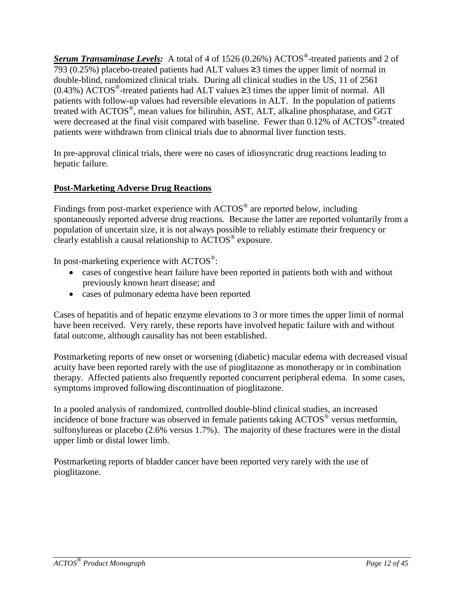*Serum Transaminase Levels:* A total of 4 of 1526 (0.26%) ACTOS®-treated patients and 2 of 793 (0.25%) placebo-treated patients had ALT values ≥3 times the upper limit of normal in double-blind, randomized clinical trials. During all clinical studies in the US, 11 of 2561 (0.43%) ACTOS<sup>®</sup>-treated patients had ALT values  $\geq$ 3 times the upper limit of normal. All patients with follow-up values had reversible elevations in ALT. In the population of patients treated with ACTOS®, mean values for bilirubin, AST, ALT, alkaline phosphatase, and GGT were decreased at the final visit compared with baseline. Fewer than 0.12% of ACTOS<sup>®</sup>-treated patients were withdrawn from clinical trials due to abnormal liver function tests.

In pre-approval clinical trials, there were no cases of idiosyncratic drug reactions leading to hepatic failure.

### **Post-Marketing Adverse Drug Reactions**

Findings from post-market experience with  $\text{ACTOS}^{\otimes}$  are reported below, including spontaneously reported adverse drug reactions. Because the latter are reported voluntarily from a population of uncertain size, it is not always possible to reliably estimate their frequency or clearly establish a causal relationship to ACTOS® exposure.

In post-marketing experience with  $\text{ACTOS}^{\circledast}$ :

- cases of congestive heart failure have been reported in patients both with and without previously known heart disease; and
- cases of pulmonary edema have been reported

Cases of hepatitis and of hepatic enzyme elevations to 3 or more times the upper limit of normal have been received. Very rarely, these reports have involved hepatic failure with and without fatal outcome, although causality has not been established.

Postmarketing reports of new onset or worsening (diabetic) macular edema with decreased visual acuity have been reported rarely with the use of pioglitazone as monotherapy or in combination therapy. Affected patients also frequently reported concurrent peripheral edema. In some cases, symptoms improved following discontinuation of pioglitazone.

In a pooled analysis of randomized, controlled double-blind clinical studies, an increased incidence of bone fracture was observed in female patients taking ACTOS<sup>®</sup> versus metformin, sulfonylureas or placebo (2.6% versus 1.7%). The majority of these fractures were in the distal upper limb or distal lower limb.

Postmarketing reports of bladder cancer have been reported very rarely with the use of pioglitazone.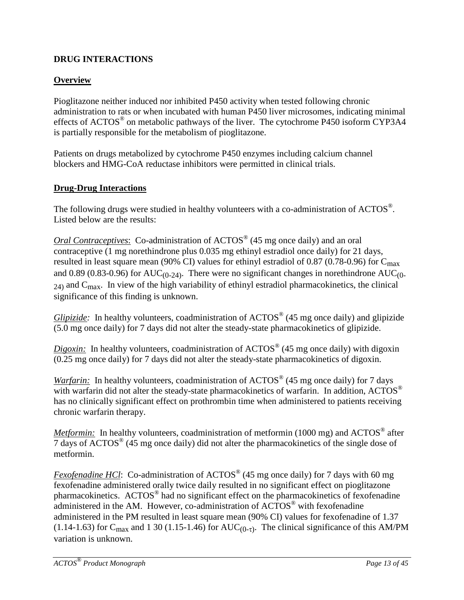## <span id="page-12-0"></span>**DRUG INTERACTIONS**

## **Overview**

Pioglitazone neither induced nor inhibited P450 activity when tested following chronic administration to rats or when incubated with human P450 liver microsomes, indicating minimal effects of ACTOS® on metabolic pathways of the liver. The cytochrome P450 isoform CYP3A4 is partially responsible for the metabolism of pioglitazone.

Patients on drugs metabolized by cytochrome P450 enzymes including calcium channel blockers and HMG-CoA reductase inhibitors were permitted in clinical trials.

### **Drug-Drug Interactions**

The following drugs were studied in healthy volunteers with a co-administration of  $\text{ACTOS}^{\circledast}$ . Listed below are the results:

*Oral Contraceptives*: Co-administration of ACTOS<sup>®</sup> (45 mg once daily) and an oral contraceptive (1 mg norethindrone plus 0.035 mg ethinyl estradiol once daily) for 21 days, resulted in least square mean (90% CI) values for ethinyl estradiol of 0.87 (0.78-0.96) for  $C_{\text{max}}$ and 0.89 (0.83-0.96) for  $AUC_{(0-24)}$ . There were no significant changes in norethindrone  $AUC_{(0-24)}$ . 24) and Cmax. In view of the high variability of ethinyl estradiol pharmacokinetics, the clinical significance of this finding is unknown.

*Glipizide:* In healthy volunteers, coadministration of ACTOS<sup>®</sup> (45 mg once daily) and glipizide (5.0 mg once daily) for 7 days did not alter the steady-state pharmacokinetics of glipizide.

*Digoxin:* In healthy volunteers, coadministration of ACTOS<sup>®</sup> (45 mg once daily) with digoxin (0.25 mg once daily) for 7 days did not alter the steady-state pharmacokinetics of digoxin.

*Warfarin:* In healthy volunteers, coadministration of ACTOS<sup>®</sup> (45 mg once daily) for 7 days with warfarin did not alter the steady-state pharmacokinetics of warfarin. In addition, ACTOS® has no clinically significant effect on prothrombin time when administered to patients receiving chronic warfarin therapy.

*Metformin:* In healthy volunteers, coadministration of metformin (1000 mg) and ACTOS<sup>®</sup> after 7 days of ACTOS® (45 mg once daily) did not alter the pharmacokinetics of the single dose of metformin.

*Fexofenadine HCl*: Co-administration of ACTOS<sup>®</sup> (45 mg once daily) for 7 days with 60 mg fexofenadine administered orally twice daily resulted in no significant effect on pioglitazone pharmacokinetics. ACTOS® had no significant effect on the pharmacokinetics of fexofenadine administered in the AM. However, co-administration of ACTOS<sup>®</sup> with fexofenadine administered in the PM resulted in least square mean (90% CI) values for fexofenadine of 1.37 (1.14-1.63) for C<sub>max</sub> and 1 30 (1.15-1.46) for AUC<sub>(0-τ)</sub>. The clinical significance of this AM/PM variation is unknown.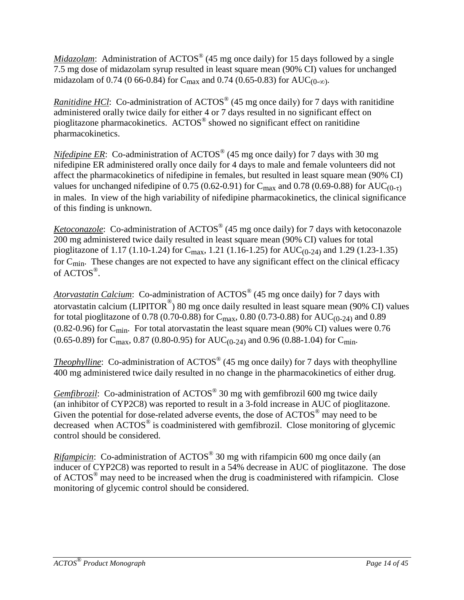*Midazolam*: Administration of ACTOS<sup>®</sup> (45 mg once daily) for 15 days followed by a single 7.5 mg dose of midazolam syrup resulted in least square mean (90% CI) values for unchanged midazolam of 0.74 (0 66-0.84) for C<sub>max</sub> and 0.74 (0.65-0.83) for AUC<sub>(0-∞)</sub>.

*Ranitidine HCl*: Co-administration of ACTOS<sup>®</sup> (45 mg once daily) for 7 days with ranitidine administered orally twice daily for either 4 or 7 days resulted in no significant effect on pioglitazone pharmacokinetics. ACTOS® showed no significant effect on ranitidine pharmacokinetics.

*Nifedipine ER*: Co-administration of ACTOS<sup>®</sup> (45 mg once daily) for 7 days with 30 mg nifedipine ER administered orally once daily for 4 days to male and female volunteers did not affect the pharmacokinetics of nifedipine in females, but resulted in least square mean (90% CI) values for unchanged nifedipine of 0.75 (0.62-0.91) for C<sub>max</sub> and 0.78 (0.69-0.88) for AUC<sub>(0-τ)</sub> in males. In view of the high variability of nifedipine pharmacokinetics, the clinical significance of this finding is unknown.

*Ketoconazole*: Co-administration of ACTOS<sup>®</sup> (45 mg once daily) for 7 days with ketoconazole 200 mg administered twice daily resulted in least square mean (90% CI) values for total pioglitazone of 1.17 (1.10-1.24) for  $C_{\text{max}}$ , 1.21 (1.16-1.25) for AUC<sub>(0-24)</sub> and 1.29 (1.23-1.35) for Cmin. These changes are not expected to have any significant effect on the clinical efficacy of ACTOS®.

*Atorvastatin Calcium*: Co-administration of ACTOS® (45 mg once daily) for 7 days with atorvastatin calcium (LIPITOR $^{\circ}$ ) 80 mg once daily resulted in least square mean (90% CI) values for total pioglitazone of 0.78 (0.70-0.88) for  $C_{\text{max}}$ , 0.80 (0.73-0.88) for AUC<sub>(0-24)</sub> and 0.89 (0.82-0.96) for C<sub>min</sub>. For total atorvastatin the least square mean (90% CI) values were 0.76  $(0.65-0.89)$  for C<sub>max</sub>, 0.87 (0.80-0.95) for AUC<sub>(0-24)</sub> and 0.96 (0.88-1.04) for C<sub>min</sub>.

*Theophylline*: Co-administration of ACTOS<sup>®</sup> (45 mg once daily) for 7 days with theophylline 400 mg administered twice daily resulted in no change in the pharmacokinetics of either drug.

*Gemfibrozil:* Co-administration of ACTOS<sup>®</sup> 30 mg with gemfibrozil 600 mg twice daily (an inhibitor of CYP2C8) was reported to result in a 3-fold increase in AUC of pioglitazone. Given the potential for dose-related adverse events, the dose of ACTOS<sup>®</sup> may need to be decreased when ACTOS<sup>®</sup> is coadministered with gemfibrozil. Close monitoring of glycemic control should be considered.

*Rifampicin*: Co-administration of ACTOS<sup>®</sup> 30 mg with rifampicin 600 mg once daily (an inducer of CYP2C8) was reported to result in a 54% decrease in AUC of pioglitazone. The dose of ACTOS<sup>®</sup> may need to be increased when the drug is coadministered with rifampicin. Close monitoring of glycemic control should be considered.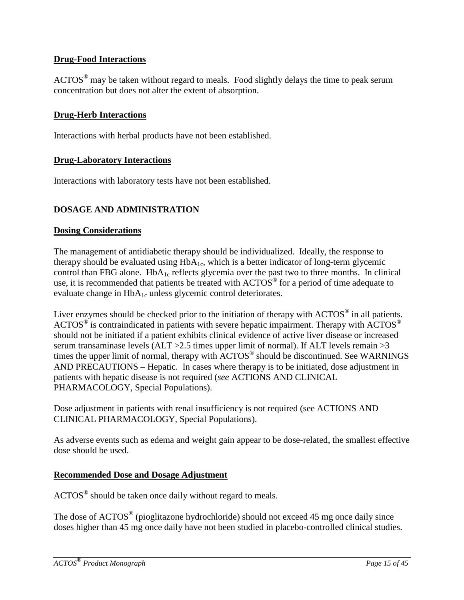### **Drug-Food Interactions**

 $\text{ACTOS}^{\circledast}$  may be taken without regard to meals. Food slightly delays the time to peak serum concentration but does not alter the extent of absorption.

#### **Drug-Herb Interactions**

Interactions with herbal products have not been established.

#### **Drug-Laboratory Interactions**

Interactions with laboratory tests have not been established.

#### <span id="page-14-0"></span>**DOSAGE AND ADMINISTRATION**

#### **Dosing Considerations**

The management of antidiabetic therapy should be individualized. Ideally, the response to therapy should be evaluated using  $HbA_{1c}$ , which is a better indicator of long-term glycemic control than FBG alone. HbA<sub>1c</sub> reflects glycemia over the past two to three months. In clinical use, it is recommended that patients be treated with ACTOS<sup>®</sup> for a period of time adequate to evaluate change in  $HbA_{1c}$  unless glycemic control deteriorates.

Liver enzymes should be checked prior to the initiation of therapy with ACTOS® in all patients. ACTOS<sup>®</sup> is contraindicated in patients with severe hepatic impairment. Therapy with ACTOS<sup>®</sup> should not be initiated if a patient exhibits clinical evidence of active liver disease or increased serum transaminase levels (ALT  $>2.5$  times upper limit of normal). If ALT levels remain  $>3$ times the upper limit of normal, therapy with ACTOS® should be discontinued. See WARNINGS AND PRECAUTIONS – Hepatic. In cases where therapy is to be initiated, dose adjustment in patients with hepatic disease is not required (*see* ACTIONS AND CLINICAL PHARMACOLOGY, Special Populations).

Dose adjustment in patients with renal insufficiency is not required (see ACTIONS AND CLINICAL PHARMACOLOGY, Special Populations).

As adverse events such as edema and weight gain appear to be dose-related, the smallest effective dose should be used.

#### **Recommended Dose and Dosage Adjustment**

ACTOS® should be taken once daily without regard to meals.

The dose of ACTOS<sup>®</sup> (pioglitazone hydrochloride) should not exceed 45 mg once daily since doses higher than 45 mg once daily have not been studied in placebo-controlled clinical studies.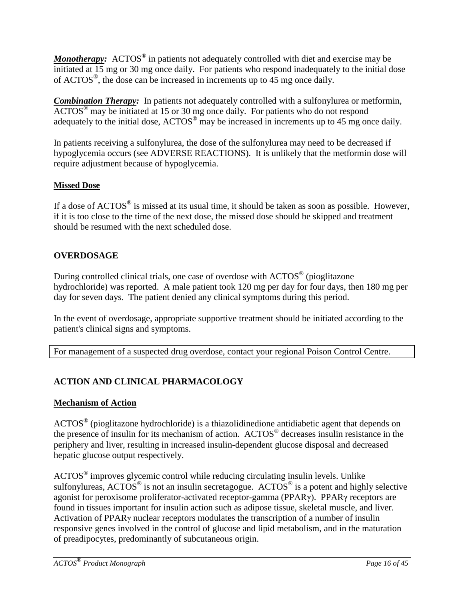*Monotherapy:* ACTOS<sup>®</sup> in patients not adequately controlled with diet and exercise may be initiated at 15 mg or 30 mg once daily. For patients who respond inadequately to the initial dose of ACTOS®, the dose can be increased in increments up to 45 mg once daily.

*Combination Therapy:* In patients not adequately controlled with a sulfonylurea or metformin, ACTOS® may be initiated at 15 or 30 mg once daily. For patients who do not respond adequately to the initial dose, ACTOS<sup>®</sup> may be increased in increments up to 45 mg once daily.

In patients receiving a sulfonylurea, the dose of the sulfonylurea may need to be decreased if hypoglycemia occurs (see ADVERSE REACTIONS). It is unlikely that the metformin dose will require adjustment because of hypoglycemia.

### **Missed Dose**

If a dose of  $\text{ACTOS}^{\circledast}$  is missed at its usual time, it should be taken as soon as possible. However, if it is too close to the time of the next dose, the missed dose should be skipped and treatment should be resumed with the next scheduled dose.

### <span id="page-15-0"></span>**OVERDOSAGE**

During controlled clinical trials, one case of overdose with ACTOS® (pioglitazone hydrochloride) was reported. A male patient took 120 mg per day for four days, then 180 mg per day for seven days. The patient denied any clinical symptoms during this period.

In the event of overdosage, appropriate supportive treatment should be initiated according to the patient's clinical signs and symptoms.

For management of a suspected drug overdose, contact your regional Poison Control Centre.

### <span id="page-15-1"></span>**ACTION AND CLINICAL PHARMACOLOGY**

#### **Mechanism of Action**

ACTOS® (pioglitazone hydrochloride) is a thiazolidinedione antidiabetic agent that depends on the presence of insulin for its mechanism of action. ACTOS® decreases insulin resistance in the periphery and liver, resulting in increased insulin-dependent glucose disposal and decreased hepatic glucose output respectively.

ACTOS® improves glycemic control while reducing circulating insulin levels. Unlike sulfonylureas,  $\angle$ ACTOS<sup>®</sup> is not an insulin secretagogue. ACTOS<sup>®</sup> is a potent and highly selective agonist for peroxisome proliferator-activated receptor-gamma (PPARγ). PPARγ receptors are found in tissues important for insulin action such as adipose tissue, skeletal muscle, and liver. Activation of PPARγ nuclear receptors modulates the transcription of a number of insulin responsive genes involved in the control of glucose and lipid metabolism, and in the maturation of preadipocytes, predominantly of subcutaneous origin.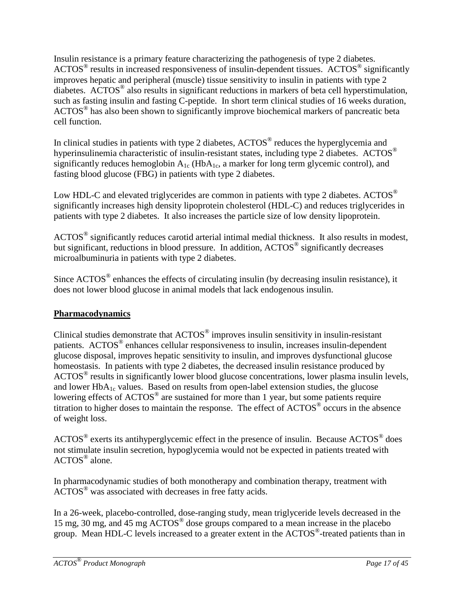Insulin resistance is a primary feature characterizing the pathogenesis of type 2 diabetes.  $\text{ACTOS}^{\circledast}$  results in increased responsiveness of insulin-dependent tissues.  $\text{ACTOS}^{\circledast}$  significantly improves hepatic and peripheral (muscle) tissue sensitivity to insulin in patients with type 2 diabetes. ACTOS® also results in significant reductions in markers of beta cell hyperstimulation, such as fasting insulin and fasting C-peptide. In short term clinical studies of 16 weeks duration, ACTOS<sup>®</sup> has also been shown to significantly improve biochemical markers of pancreatic beta cell function.

In clinical studies in patients with type 2 diabetes,  $\text{ACTOS}^{\circledcirc}$  reduces the hyperglycemia and hyperinsulinemia characteristic of insulin-resistant states, including type 2 diabetes. ACTOS<sup>®</sup> significantly reduces hemoglobin  $A_{1c}$  (Hb $A_{1c}$ , a marker for long term glycemic control), and fasting blood glucose (FBG) in patients with type 2 diabetes.

Low HDL-C and elevated triglycerides are common in patients with type 2 diabetes. ACTOS<sup>®</sup> significantly increases high density lipoprotein cholesterol (HDL-C) and reduces triglycerides in patients with type 2 diabetes. It also increases the particle size of low density lipoprotein.

ACTOS<sup>®</sup> significantly reduces carotid arterial intimal medial thickness. It also results in modest, but significant, reductions in blood pressure. In addition, ACTOS<sup>®</sup> significantly decreases microalbuminuria in patients with type 2 diabetes.

Since  $\text{ACTOS}^{\circledcirc}$  enhances the effects of circulating insulin (by decreasing insulin resistance), it does not lower blood glucose in animal models that lack endogenous insulin.

### **Pharmacodynamics**

Clinical studies demonstrate that ACTOS® improves insulin sensitivity in insulin-resistant patients. ACTOS® enhances cellular responsiveness to insulin, increases insulin-dependent glucose disposal, improves hepatic sensitivity to insulin, and improves dysfunctional glucose homeostasis. In patients with type 2 diabetes, the decreased insulin resistance produced by ACTOS® results in significantly lower blood glucose concentrations, lower plasma insulin levels, and lower  $HbA_{1c}$  values. Based on results from open-label extension studies, the glucose lowering effects of ACTOS<sup>®</sup> are sustained for more than 1 year, but some patients require titration to higher doses to maintain the response. The effect of ACTOS® occurs in the absence of weight loss.

ACTOS® exerts its antihyperglycemic effect in the presence of insulin. Because ACTOS® does not stimulate insulin secretion, hypoglycemia would not be expected in patients treated with ACTOS® alone.

In pharmacodynamic studies of both monotherapy and combination therapy, treatment with ACTOS® was associated with decreases in free fatty acids.

In a 26-week, placebo-controlled, dose-ranging study, mean triglyceride levels decreased in the 15 mg, 30 mg, and 45 mg ACTOS® dose groups compared to a mean increase in the placebo group. Mean HDL-C levels increased to a greater extent in the ACTOS®-treated patients than in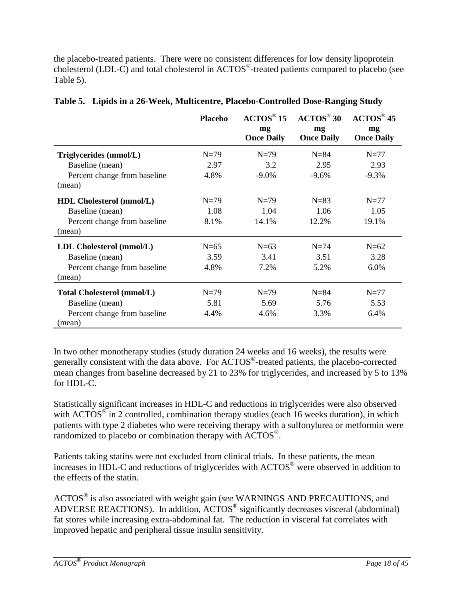the placebo-treated patients. There were no consistent differences for low density lipoprotein cholesterol (LDL-C) and total cholesterol in ACTOS®-treated patients compared to placebo (see Table 5).

|                                        | <b>Placebo</b> | $\angle$ ACTOS <sup>®</sup> 15 | $\mathbf{A}\mathbf{C}\mathbf{T}\mathbf{O}\mathbf{S}^{\circledcirc}$ 30 | $\mathbf{A}\mathbf{C}\mathbf{T}\mathbf{O}\mathbf{S}^{\circledcirc}$ 45 |
|----------------------------------------|----------------|--------------------------------|------------------------------------------------------------------------|------------------------------------------------------------------------|
|                                        |                | mg<br><b>Once Daily</b>        | mg<br><b>Once Daily</b>                                                | mg<br><b>Once Daily</b>                                                |
| Triglycerides (mmol/L)                 | $N=79$         | $N=79$                         | $N = 84$                                                               | $N=77$                                                                 |
| Baseline (mean)                        | 2.97           | 3.2                            | 2.95                                                                   | 2.93                                                                   |
| Percent change from baseline<br>(mean) | 4.8%           | $-9.0\%$                       | $-9.6%$                                                                | $-9.3%$                                                                |
| <b>HDL Cholesterol (mmol/L)</b>        | $N=79$         | $N=79$                         | $N=83$                                                                 | $N=77$                                                                 |
| Baseline (mean)                        | 1.08           | 1.04                           | 1.06                                                                   | 1.05                                                                   |
| Percent change from baseline<br>(mean) | 8.1%           | 14.1%                          | 12.2%                                                                  | 19.1%                                                                  |
| LDL Cholesterol (mmol/L)               | $N=65$         | $N=63$                         | $N=74$                                                                 | $N=62$                                                                 |
| Baseline (mean)                        | 3.59           | 3.41                           | 3.51                                                                   | 3.28                                                                   |
| Percent change from baseline<br>(mean) | 4.8%           | 7.2%                           | 5.2%                                                                   | 6.0%                                                                   |
| <b>Total Cholesterol (mmol/L)</b>      | $N=79$         | $N=79$                         | $N = 84$                                                               | $N=77$                                                                 |
| Baseline (mean)                        | 5.81           | 5.69                           | 5.76                                                                   | 5.53                                                                   |
| Percent change from baseline           | 4.4%           | 4.6%                           | 3.3%                                                                   | 6.4%                                                                   |
| (mean)                                 |                |                                |                                                                        |                                                                        |

|  | Table 5. Lipids in a 26-Week, Multicentre, Placebo-Controlled Dose-Ranging Study |  |  |
|--|----------------------------------------------------------------------------------|--|--|
|  |                                                                                  |  |  |

In two other monotherapy studies (study duration 24 weeks and 16 weeks), the results were generally consistent with the data above. For ACTOS®-treated patients, the placebo-corrected mean changes from baseline decreased by 21 to 23% for triglycerides, and increased by 5 to 13% for HDL-C.

Statistically significant increases in HDL-C and reductions in triglycerides were also observed with  $\text{ACTOS}^{\circledast}$  in 2 controlled, combination therapy studies (each 16 weeks duration), in which patients with type 2 diabetes who were receiving therapy with a sulfonylurea or metformin were randomized to placebo or combination therapy with ACTOS®.

Patients taking statins were not excluded from clinical trials. In these patients, the mean increases in HDL-C and reductions of triglycerides with ACTOS® were observed in addition to the effects of the statin.

ACTOS® is also associated with weight gain (*see* WARNINGS AND PRECAUTIONS, and ADVERSE REACTIONS). In addition,  $\text{ACTOS}^{\circledast}$  significantly decreases visceral (abdominal) fat stores while increasing extra-abdominal fat. The reduction in visceral fat correlates with improved hepatic and peripheral tissue insulin sensitivity.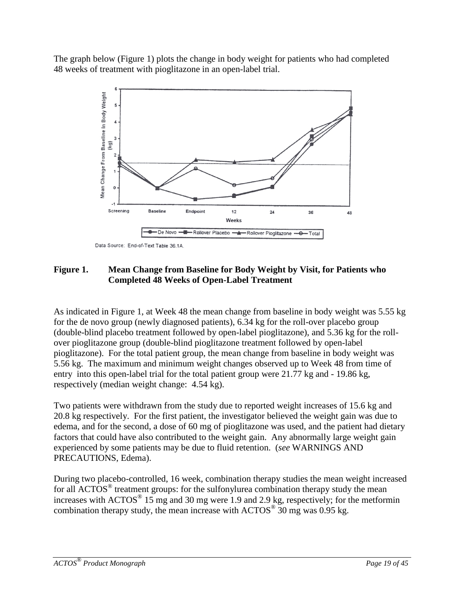The graph below (Figure 1) plots the change in body weight for patients who had completed 48 weeks of treatment with pioglitazone in an open-label trial.



Data Source: End-of-Text Table 36.1A.

### **Figure 1. Mean Change from Baseline for Body Weight by Visit, for Patients who Completed 48 Weeks of Open-Label Treatment**

As indicated in Figure 1, at Week 48 the mean change from baseline in body weight was 5.55 kg for the de novo group (newly diagnosed patients), 6.34 kg for the roll-over placebo group (double-blind placebo treatment followed by open-label pioglitazone), and 5.36 kg for the rollover pioglitazone group (double-blind pioglitazone treatment followed by open-label pioglitazone). For the total patient group, the mean change from baseline in body weight was 5.56 kg. The maximum and minimum weight changes observed up to Week 48 from time of entry into this open-label trial for the total patient group were 21.77 kg and - 19.86 kg, respectively (median weight change: 4.54 kg).

Two patients were withdrawn from the study due to reported weight increases of 15.6 kg and 20.8 kg respectively. For the first patient, the investigator believed the weight gain was due to edema, and for the second, a dose of 60 mg of pioglitazone was used, and the patient had dietary factors that could have also contributed to the weight gain. Any abnormally large weight gain experienced by some patients may be due to fluid retention. (*see* WARNINGS AND PRECAUTIONS, Edema).

During two placebo-controlled, 16 week, combination therapy studies the mean weight increased for all ACTOS<sup>®</sup> treatment groups: for the sulfonylurea combination therapy study the mean increases with  $\text{ACTOS}^{\circledast}$  15 mg and 30 mg were 1.9 and 2.9 kg, respectively; for the metformin combination therapy study, the mean increase with  $\text{ACTOS}^{\circledR}$  30 mg was 0.95 kg.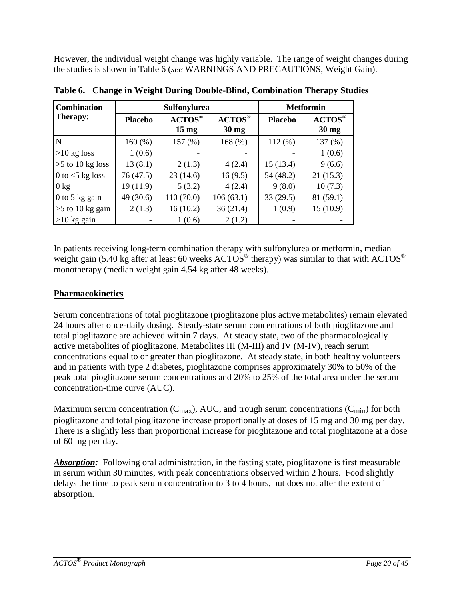However, the individual weight change was highly variable. The range of weight changes during the studies is shown in Table 6 (*see* WARNINGS AND PRECAUTIONS, Weight Gain).

| Combination        | Sulfonylurea   |                                                                                        |                                                                                        | <b>Metformin</b> |                                                                                       |
|--------------------|----------------|----------------------------------------------------------------------------------------|----------------------------------------------------------------------------------------|------------------|---------------------------------------------------------------------------------------|
| Therapy:           | <b>Placebo</b> | $\mathbf{A}\mathbf{C}\mathbf{T}\mathbf{O}\mathbf{S}^{\circledcirc}$<br>$15 \text{ mg}$ | $\mathbf{A}\mathbf{C}\mathbf{T}\mathbf{O}\mathbf{S}^{\circledcirc}$<br>$30 \text{ mg}$ | <b>Placebo</b>   | $\mathbf{A}\mathbf{C}\mathbf{T}\mathbf{O}\mathbf{S}^{\circledast}$<br>$30 \text{ mg}$ |
| N                  | $160\,(%)$     | 157(%)                                                                                 | 168 $(% )$                                                                             | 112(%)           | 137(%)                                                                                |
| $>10$ kg loss      | 1(0.6)         |                                                                                        |                                                                                        |                  | 1(0.6)                                                                                |
| $>5$ to 10 kg loss | 13(8.1)        | 2(1.3)                                                                                 | 4(2.4)                                                                                 | 15(13.4)         | 9(6.6)                                                                                |
| 0 to $<$ 5 kg loss | 76(47.5)       | 23(14.6)                                                                               | 16(9.5)                                                                                | 54 (48.2)        | 21(15.3)                                                                              |
| $0 \text{ kg}$     | 19(11.9)       | 5(3.2)                                                                                 | 4(2.4)                                                                                 | 9(8.0)           | 10(7.3)                                                                               |
| 0 to 5 kg gain     | 49 (30.6)      | 110(70.0)                                                                              | 106(63.1)                                                                              | 33(29.5)         | 81(59.1)                                                                              |
| $>5$ to 10 kg gain | 2(1.3)         | 16(10.2)                                                                               | 36(21.4)                                                                               | 1(0.9)           | 15(10.9)                                                                              |
| $>10$ kg gain      |                | 1(0.6)                                                                                 | 2(1.2)                                                                                 |                  |                                                                                       |

**Table 6. Change in Weight During Double-Blind, Combination Therapy Studies**

In patients receiving long-term combination therapy with sulfonylurea or metformin, median weight gain (5.40 kg after at least 60 weeks  $\text{ACTOS}^{\circledcirc}$  therapy) was similar to that with  $\text{ACTOS}^{\circledcirc}$ monotherapy (median weight gain 4.54 kg after 48 weeks).

### **Pharmacokinetics**

Serum concentrations of total pioglitazone (pioglitazone plus active metabolites) remain elevated 24 hours after once-daily dosing. Steady-state serum concentrations of both pioglitazone and total pioglitazone are achieved within 7 days. At steady state, two of the pharmacologically active metabolites of pioglitazone, Metabolites III (M-III) and IV (M-IV), reach serum concentrations equal to or greater than pioglitazone. At steady state, in both healthy volunteers and in patients with type 2 diabetes, pioglitazone comprises approximately 30% to 50% of the peak total pioglitazone serum concentrations and 20% to 25% of the total area under the serum concentration-time curve (AUC).

Maximum serum concentration ( $C_{\text{max}}$ ), AUC, and trough serum concentrations ( $C_{\text{min}}$ ) for both pioglitazone and total pioglitazone increase proportionally at doses of 15 mg and 30 mg per day. There is a slightly less than proportional increase for pioglitazone and total pioglitazone at a dose of 60 mg per day.

*Absorption:* Following oral administration, in the fasting state, pioglitazone is first measurable in serum within 30 minutes, with peak concentrations observed within 2 hours. Food slightly delays the time to peak serum concentration to 3 to 4 hours, but does not alter the extent of absorption.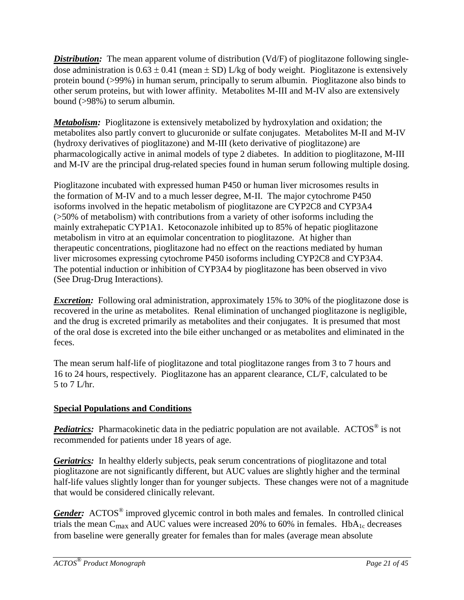*Distribution:* The mean apparent volume of distribution (Vd/F) of pioglitazone following singledose administration is  $0.63 \pm 0.41$  (mean  $\pm$  SD) L/kg of body weight. Pioglitazone is extensively protein bound (>99%) in human serum, principally to serum albumin. Pioglitazone also binds to other serum proteins, but with lower affinity. Metabolites M-III and M-IV also are extensively bound (>98%) to serum albumin.

*Metabolism:* Pioglitazone is extensively metabolized by hydroxylation and oxidation; the metabolites also partly convert to glucuronide or sulfate conjugates. Metabolites M-II and M-IV (hydroxy derivatives of pioglitazone) and M-III (keto derivative of pioglitazone) are pharmacologically active in animal models of type 2 diabetes. In addition to pioglitazone, M-III and M-IV are the principal drug-related species found in human serum following multiple dosing.

Pioglitazone incubated with expressed human P450 or human liver microsomes results in the formation of M-IV and to a much lesser degree, M-II. The major cytochrome P450 isoforms involved in the hepatic metabolism of pioglitazone are CYP2C8 and CYP3A4 (>50% of metabolism) with contributions from a variety of other isoforms including the mainly extrahepatic CYP1A1. Ketoconazole inhibited up to 85% of hepatic pioglitazone metabolism in vitro at an equimolar concentration to pioglitazone. At higher than therapeutic concentrations, pioglitazone had no effect on the reactions mediated by human liver microsomes expressing cytochrome P450 isoforms including CYP2C8 and CYP3A4. The potential induction or inhibition of CYP3A4 by pioglitazone has been observed in vivo (See Drug-Drug Interactions).

*Excretion:* Following oral administration, approximately 15% to 30% of the pioglitazone dose is recovered in the urine as metabolites. Renal elimination of unchanged pioglitazone is negligible, and the drug is excreted primarily as metabolites and their conjugates. It is presumed that most of the oral dose is excreted into the bile either unchanged or as metabolites and eliminated in the feces.

The mean serum half-life of pioglitazone and total pioglitazone ranges from 3 to 7 hours and 16 to 24 hours, respectively. Pioglitazone has an apparent clearance, CL/F, calculated to be 5 to 7 L/hr.

## **Special Populations and Conditions**

*Pediatrics:* Pharmacokinetic data in the pediatric population are not available. ACTOS<sup>®</sup> is not recommended for patients under 18 years of age.

*Geriatrics:* In healthy elderly subjects, peak serum concentrations of pioglitazone and total pioglitazone are not significantly different, but AUC values are slightly higher and the terminal half-life values slightly longer than for younger subjects. These changes were not of a magnitude that would be considered clinically relevant.

*Gender:* ACTOS<sup>®</sup> improved glycemic control in both males and females. In controlled clinical trials the mean C<sub>max</sub> and AUC values were increased 20% to 60% in females. HbA<sub>1c</sub> decreases from baseline were generally greater for females than for males (average mean absolute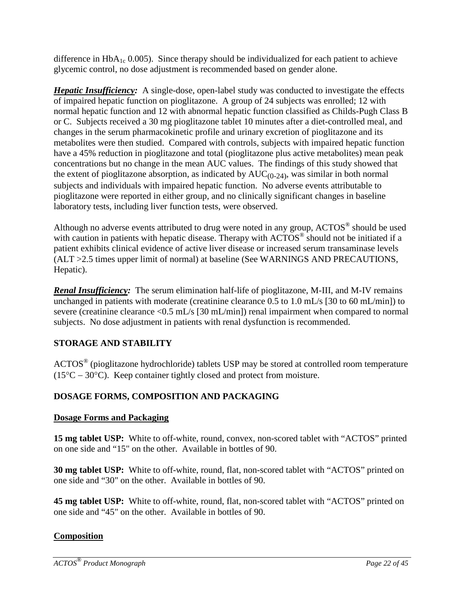difference in  $HbA_{1c}$  0.005). Since therapy should be individualized for each patient to achieve glycemic control, no dose adjustment is recommended based on gender alone.

*Hepatic Insufficiency:* A single-dose, open-label study was conducted to investigate the effects of impaired hepatic function on pioglitazone. A group of 24 subjects was enrolled; 12 with normal hepatic function and 12 with abnormal hepatic function classified as Childs-Pugh Class B or C. Subjects received a 30 mg pioglitazone tablet 10 minutes after a diet-controlled meal, and changes in the serum pharmacokinetic profile and urinary excretion of pioglitazone and its metabolites were then studied. Compared with controls, subjects with impaired hepatic function have a 45% reduction in pioglitazone and total (pioglitazone plus active metabolites) mean peak concentrations but no change in the mean AUC values. The findings of this study showed that the extent of pioglitazone absorption, as indicated by  $AUC_{(0-24)}$ , was similar in both normal subjects and individuals with impaired hepatic function. No adverse events attributable to pioglitazone were reported in either group, and no clinically significant changes in baseline laboratory tests, including liver function tests, were observed.

Although no adverse events attributed to drug were noted in any group,  $\text{ACTOS}^{\circledast}$  should be used with caution in patients with hepatic disease. Therapy with  $\angle ACTOS^{\circledcirc}$  should not be initiated if a patient exhibits clinical evidence of active liver disease or increased serum transaminase levels (ALT >2.5 times upper limit of normal) at baseline (See WARNINGS AND PRECAUTIONS, Hepatic).

*Renal Insufficiency:* The serum elimination half-life of pioglitazone, M-III, and M-IV remains unchanged in patients with moderate (creatinine clearance 0.5 to 1.0 mL/s [30 to 60 mL/min]) to severe (creatinine clearance <0.5 mL/s [30 mL/min]) renal impairment when compared to normal subjects. No dose adjustment in patients with renal dysfunction is recommended.

## <span id="page-21-0"></span>**STORAGE AND STABILITY**

ACTOS® (pioglitazone hydrochloride) tablets USP may be stored at controlled room temperature (15°C − 30°C). Keep container tightly closed and protect from moisture.

## <span id="page-21-1"></span>**DOSAGE FORMS, COMPOSITION AND PACKAGING**

### **Dosage Forms and Packaging**

**15 mg tablet USP:** White to off-white, round, convex, non-scored tablet with "ACTOS" printed on one side and "15" on the other. Available in bottles of 90.

**30 mg tablet USP:** White to off-white, round, flat, non-scored tablet with "ACTOS" printed on one side and "30" on the other. Available in bottles of 90.

**45 mg tablet USP:** White to off-white, round, flat, non-scored tablet with "ACTOS" printed on one side and "45" on the other. Available in bottles of 90.

### **Composition**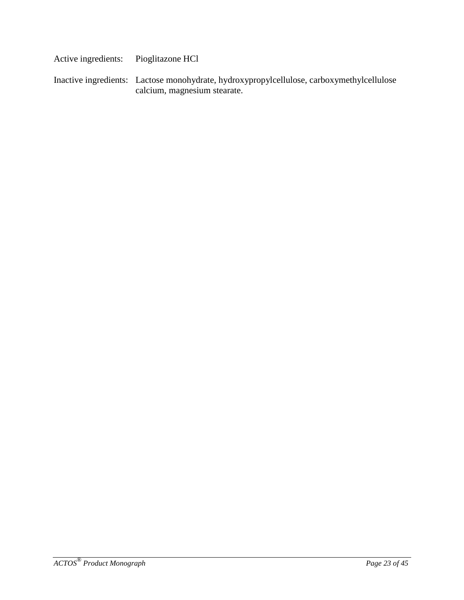Active ingredients: Pioglitazone HCl Inactive ingredients: Lactose monohydrate, hydroxypropylcellulose, carboxymethylcellulose calcium, magnesium stearate.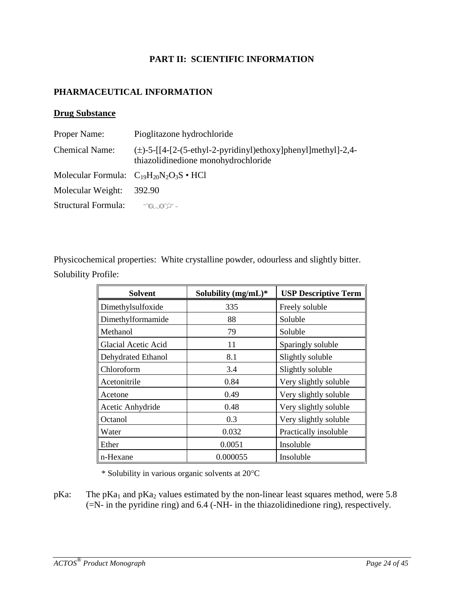#### **PART II: SCIENTIFIC INFORMATION**

#### <span id="page-23-1"></span><span id="page-23-0"></span>**PHARMACEUTICAL INFORMATION**

#### **Drug Substance**

| Proper Name:                                       | Pioglitazone hydrochloride                                                                               |
|----------------------------------------------------|----------------------------------------------------------------------------------------------------------|
| <b>Chemical Name:</b>                              | $(\pm)$ -5-[[4-[2-(5-ethyl-2-pyridinyl)ethoxy]phenyl]methyl]-2,4-<br>thiazolidinedione monohydrochloride |
| Molecular Formula: $C_{19}H_{20}N_2O_3S \cdot HCl$ |                                                                                                          |
| Molecular Weight:                                  | 392.90                                                                                                   |
| <b>Structural Formula:</b>                         | $^{\circ}$ 0.0 $\alpha$ –                                                                                |

Physicochemical properties: White crystalline powder, odourless and slightly bitter. Solubility Profile:

| <b>Solvent</b>      | Solubility $(mg/mL)^*$ | <b>USP Descriptive Term</b> |
|---------------------|------------------------|-----------------------------|
| Dimethylsulfoxide   | 335                    | Freely soluble              |
| Dimethylformamide   | 88                     | Soluble                     |
| Methanol            | 79                     | Soluble                     |
| Glacial Acetic Acid | 11                     | Sparingly soluble           |
| Dehydrated Ethanol  | 8.1                    | Slightly soluble            |
| Chloroform          | 3.4                    | Slightly soluble            |
| Acetonitrile        | 0.84                   | Very slightly soluble       |
| Acetone             | 0.49                   | Very slightly soluble       |
| Acetic Anhydride    | 0.48                   | Very slightly soluble       |
| Octanol             | 0.3                    | Very slightly soluble       |
| Water               | 0.032                  | Practically insoluble       |
| Ether               | 0.0051                 | Insoluble                   |
| n-Hexane            | 0.000055               | Insoluble                   |

\* Solubility in various organic solvents at 20°C

pKa: The pKa<sub>1</sub> and pKa<sub>2</sub> values estimated by the non-linear least squares method, were 5.8 (=N- in the pyridine ring) and 6.4 (-NH- in the thiazolidinedione ring), respectively.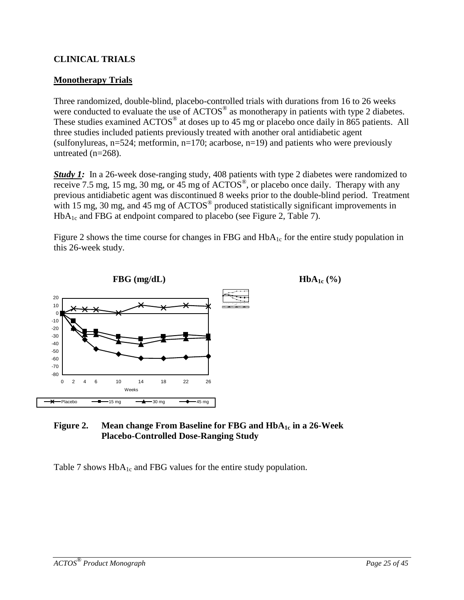#### <span id="page-24-0"></span>**CLINICAL TRIALS**

#### **Monotherapy Trials**

Three randomized, double-blind, placebo-controlled trials with durations from 16 to 26 weeks were conducted to evaluate the use of  $\text{ACTOS}^{\circledcirc}$  as monotherapy in patients with type 2 diabetes. These studies examined  $\text{ACTOS}^{\circledcirc}$  at doses up to 45 mg or placebo once daily in 865 patients. All three studies included patients previously treated with another oral antidiabetic agent (sulfonylureas,  $n=524$ ; metformin,  $n=170$ ; acarbose,  $n=19$ ) and patients who were previously untreated (n=268).

**Study 1:** In a 26-week dose-ranging study, 408 patients with type 2 diabetes were randomized to receive 7.5 mg, 15 mg, 30 mg, or  $45 \text{ mg}$  of  $\angle$ ACTOS<sup>®</sup>, or placebo once daily. Therapy with any previous antidiabetic agent was discontinued 8 weeks prior to the double-blind period. Treatment with 15 mg, 30 mg, and 45 mg of  $\angle$ ACTOS<sup>®</sup> produced statistically significant improvements in  $HbA_{1c}$  and FBG at endpoint compared to placebo (see Figure 2, Table 7).

Figure 2 shows the time course for changes in FBG and  $HbA_{1c}$  for the entire study population in this 26-week study.



#### **Figure 2.** Mean change From Baseline for FBG and  $HbA_{1c}$  in a 26-Week **Placebo-Controlled Dose-Ranging Study**

Table 7 shows  $HbA_{1c}$  and FBG values for the entire study population.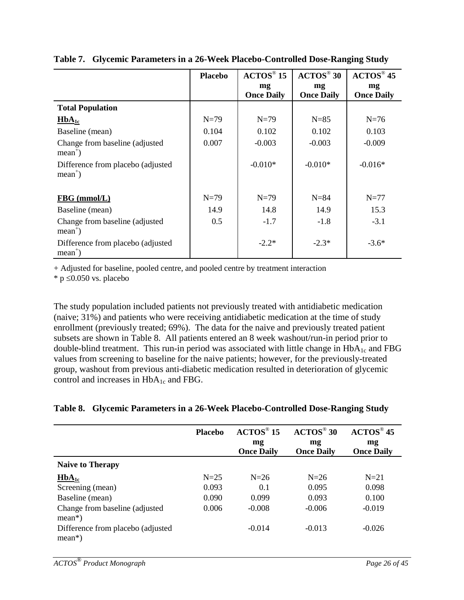|                                                 | <b>Placebo</b> | $\mathbf{A}\mathbf{C}\mathbf{T}\mathbf{O}\mathbf{S}^{\circledast}$ 15 | $\mathbf{ACTOS}^\circledast\,30$ | $\mathbf{A}\mathbf{C}\mathbf{T}\mathbf{O}\mathbf{S}^{\circledast}$ 45 |
|-------------------------------------------------|----------------|-----------------------------------------------------------------------|----------------------------------|-----------------------------------------------------------------------|
|                                                 |                | mg                                                                    | mg                               | mg                                                                    |
|                                                 |                | <b>Once Daily</b>                                                     | <b>Once Daily</b>                | <b>Once Daily</b>                                                     |
| <b>Total Population</b>                         |                |                                                                       |                                  |                                                                       |
| $HbA_{1c}$                                      | $N=79$         | $N=79$                                                                | $N=85$                           | $N=76$                                                                |
| Baseline (mean)                                 | 0.104          | 0.102                                                                 | 0.102                            | 0.103                                                                 |
| Change from baseline (adjusted)<br>$mean+$ )    | 0.007          | $-0.003$                                                              | $-0.003$                         | $-0.009$                                                              |
| Difference from placebo (adjusted<br>$mean^+)$  |                | $-0.010*$                                                             | $-0.010*$                        | $-0.016*$                                                             |
| $FBG$ (mmol/L)                                  | $N=79$         | $N=79$                                                                | $N = 84$                         | $N=77$                                                                |
| Baseline (mean)                                 | 14.9           | 14.8                                                                  | 14.9                             | 15.3                                                                  |
| Change from baseline (adjusted)<br>$mean+$ )    | 0.5            | $-1.7$                                                                | $-1.8$                           | $-3.1$                                                                |
| Difference from placebo (adjusted)<br>$mean+$ ) |                | $-2.2*$                                                               | $-2.3*$                          | $-3.6*$                                                               |

#### **Table 7. Glycemic Parameters in a 26-Week Placebo-Controlled Dose-Ranging Study**

+ Adjusted for baseline, pooled centre, and pooled centre by treatment interaction

 $*$  p  $\leq 0.050$  vs. placebo

The study population included patients not previously treated with antidiabetic medication (naive; 31%) and patients who were receiving antidiabetic medication at the time of study enrollment (previously treated; 69%). The data for the naive and previously treated patient subsets are shown in Table 8. All patients entered an 8 week washout/run-in period prior to double-blind treatment. This run-in period was associated with little change in  $HbA_{1c}$  and FBG values from screening to baseline for the naive patients; however, for the previously-treated group, washout from previous anti-diabetic medication resulted in deterioration of glycemic control and increases in HbA<sub>1c</sub> and FBG.

#### **Table 8. Glycemic Parameters in a 26-Week Placebo-Controlled Dose-Ranging Study**

|                                                | <b>Placebo</b> | $\angle$ ACTOS <sup>®</sup> 15<br>mg<br><b>Once Daily</b> | $\angle$ ACTOS <sup>®</sup> 30<br>mg<br><b>Once Daily</b> | $\mathbf{ACTOS}^{\circledcirc}$ 45<br>mg<br><b>Once Daily</b> |
|------------------------------------------------|----------------|-----------------------------------------------------------|-----------------------------------------------------------|---------------------------------------------------------------|
| <b>Naive to Therapy</b>                        |                |                                                           |                                                           |                                                               |
| $HbA_{1c}$                                     | $N=25$         | $N=26$                                                    | $N=26$                                                    | $N=21$                                                        |
| Screening (mean)                               | 0.093          | 0.1                                                       | 0.095                                                     | 0.098                                                         |
| Baseline (mean)                                | 0.090          | 0.099                                                     | 0.093                                                     | 0.100                                                         |
| Change from baseline (adjusted)<br>$mean*$ )   | 0.006          | $-0.008$                                                  | $-0.006$                                                  | $-0.019$                                                      |
| Difference from placebo (adjusted<br>$mean*$ ) |                | $-0.014$                                                  | $-0.013$                                                  | $-0.026$                                                      |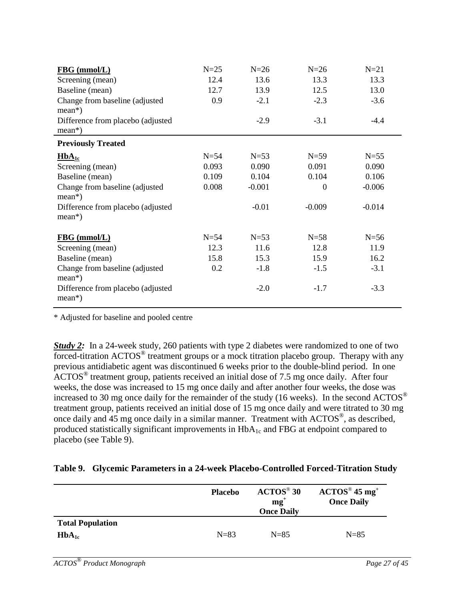| FBG (mmol/L)                                   | $N=25$ | $N=26$   | $N=26$   | $N=21$   |
|------------------------------------------------|--------|----------|----------|----------|
| Screening (mean)                               | 12.4   | 13.6     | 13.3     | 13.3     |
| Baseline (mean)                                | 12.7   | 13.9     | 12.5     | 13.0     |
| Change from baseline (adjusted<br>$mean*$ )    | 0.9    | $-2.1$   | $-2.3$   | $-3.6$   |
| Difference from placebo (adjusted<br>$mean*$ ) |        | $-2.9$   | $-3.1$   | $-4.4$   |
| <b>Previously Treated</b>                      |        |          |          |          |
| $HbA_{1c}$                                     | $N=54$ | $N=53$   | $N=59$   | $N = 55$ |
| Screening (mean)                               | 0.093  | 0.090    | 0.091    | 0.090    |
| Baseline (mean)                                | 0.109  | 0.104    | 0.104    | 0.106    |
| Change from baseline (adjusted<br>$mean*$ )    | 0.008  | $-0.001$ | $\theta$ | $-0.006$ |
| Difference from placebo (adjusted<br>$mean*$ ) |        | $-0.01$  | $-0.009$ | $-0.014$ |
| <b>FBG</b> (mmol/L)                            | $N=54$ | $N=53$   | $N = 58$ | $N=56$   |
| Screening (mean)                               | 12.3   | 11.6     | 12.8     | 11.9     |
| Baseline (mean)                                | 15.8   | 15.3     | 15.9     | 16.2     |
| Change from baseline (adjusted<br>$mean*$ )    | 0.2    | $-1.8$   | $-1.5$   | $-3.1$   |
| Difference from placebo (adjusted<br>$mean*$ ) |        | $-2.0$   | $-1.7$   | $-3.3$   |

\* Adjusted for baseline and pooled centre

*Study 2*: In a 24-week study, 260 patients with type 2 diabetes were randomized to one of two forced-titration ACTOS® treatment groups or a mock titration placebo group. Therapy with any previous antidiabetic agent was discontinued 6 weeks prior to the double-blind period. In one ACTOS® treatment group, patients received an initial dose of 7.5 mg once daily. After four weeks, the dose was increased to 15 mg once daily and after another four weeks, the dose was increased to 30 mg once daily for the remainder of the study (16 weeks). In the second ACTOS<sup>®</sup> treatment group, patients received an initial dose of 15 mg once daily and were titrated to 30 mg once daily and 45 mg once daily in a similar manner. Treatment with ACTOS®, as described, produced statistically significant improvements in  $HbA_{1c}$  and FBG at endpoint compared to placebo (see Table 9).

#### **Table 9. Glycemic Parameters in a 24-week Placebo-Controlled Forced-Titration Study**

|                                       | <b>Placebo</b> | $\mathbf{A}\mathbf{C}\mathbf{T}\mathbf{O}\mathbf{S}^{\circledcirc}$ 30<br>$mg^+$<br><b>Once Daily</b> | $\mathrm{ACTOS}^{\circledcirc}$ 45 mg <sup>+</sup><br><b>Once Daily</b> |
|---------------------------------------|----------------|-------------------------------------------------------------------------------------------------------|-------------------------------------------------------------------------|
| <b>Total Population</b><br>$HbA_{1c}$ | $N=83$         | $N=85$                                                                                                | $N=85$                                                                  |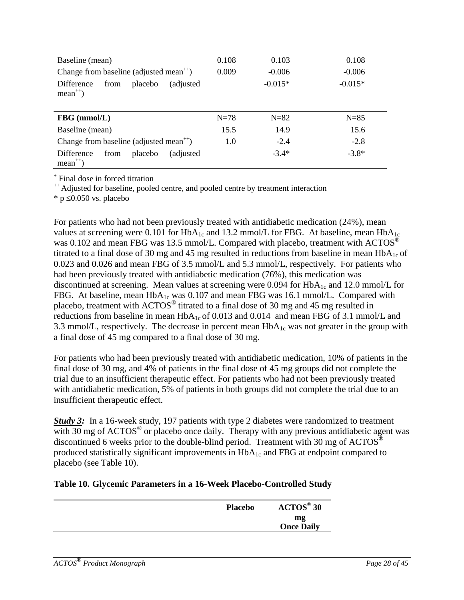| Baseline (mean)                                                 | 0.108  | 0.103     | 0.108     |
|-----------------------------------------------------------------|--------|-----------|-----------|
| Change from baseline (adjusted mean <sup>++</sup> )             | 0.009  | $-0.006$  | $-0.006$  |
| Difference<br>placebo<br>from<br>(adjusted)<br>$mean^{++}$ )    |        | $-0.015*$ | $-0.015*$ |
|                                                                 |        |           |           |
| FBG (mmol/L)                                                    | $N=78$ | $N=82$    | $N=85$    |
| Baseline (mean)                                                 | 15.5   | 14.9      | 15.6      |
| Change from baseline (adjusted mean <sup><math>+</math></sup> ) | 1.0    | $-2.4$    | $-2.8$    |

<sup>+</sup> Final dose in forced titration

<sup>++</sup> Adjusted for baseline, pooled centre, and pooled centre by treatment interaction

 $*$  p  $\leq 0.050$  vs. placebo

For patients who had not been previously treated with antidiabetic medication (24%), mean values at screening were 0.101 for  $HbA_{1c}$  and 13.2 mmol/L for FBG. At baseline, mean  $HbA_{1c}$ was 0.102 and mean FBG was 13.5 mmol/L. Compared with placebo, treatment with  $\text{ACTOS}^{\circledcirc}$ titrated to a final dose of 30 mg and 45 mg resulted in reductions from baseline in mean  $HbA_{1c}$  of 0.023 and 0.026 and mean FBG of 3.5 mmol/L and 5.3 mmol/L, respectively. For patients who had been previously treated with antidiabetic medication (76%), this medication was discontinued at screening. Mean values at screening were 0.094 for  $HbA_{1c}$  and 12.0 mmol/L for FBG. At baseline, mean  $HbA_{1c}$  was 0.107 and mean FBG was 16.1 mmol/L. Compared with placebo, treatment with ACTOS® titrated to a final dose of 30 mg and 45 mg resulted in reductions from baseline in mean HbA<sub>1c</sub> of 0.013 and 0.014 and mean FBG of 3.1 mmol/L and 3.3 mmol/L, respectively. The decrease in percent mean  $HbA_{1c}$  was not greater in the group with a final dose of 45 mg compared to a final dose of 30 mg.

For patients who had been previously treated with antidiabetic medication, 10% of patients in the final dose of 30 mg, and 4% of patients in the final dose of 45 mg groups did not complete the trial due to an insufficient therapeutic effect. For patients who had not been previously treated with antidiabetic medication, 5% of patients in both groups did not complete the trial due to an insufficient therapeutic effect.

**Study 3:** In a 16-week study, 197 patients with type 2 diabetes were randomized to treatment with  $30 \text{ mg}$  of ACTOS<sup>®</sup> or placebo once daily. Therapy with any previous antidiabetic agent was discontinued 6 weeks prior to the double-blind period. Treatment with 30 mg of  $\text{ACTOS}^{\circledast}$ produced statistically significant improvements in  $HbA_{1c}$  and FBG at endpoint compared to placebo (see Table 10).

#### **Table 10. Glycemic Parameters in a 16-Week Placebo-Controlled Study**

| <b>Placebo</b> | $\mathbf{A}\mathbf{CTOS}^{\circledast}$ 30 |
|----------------|--------------------------------------------|
|                | mg                                         |
|                | <b>Once Daily</b>                          |
|                |                                            |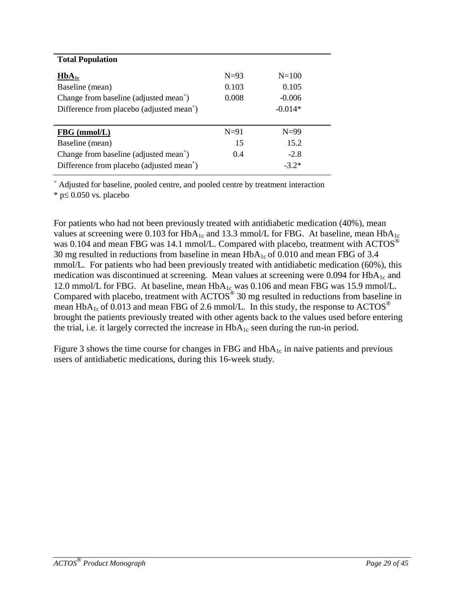| <b>Total Population</b>                               |        |           |  |
|-------------------------------------------------------|--------|-----------|--|
| $HbA_{1c}$                                            | $N=93$ | $N = 100$ |  |
| Baseline (mean)                                       | 0.103  | 0.105     |  |
| Change from baseline (adjusted mean <sup>+</sup> )    | 0.008  | $-0.006$  |  |
| Difference from placebo (adjusted mean <sup>+</sup> ) |        | $-0.014*$ |  |
|                                                       |        |           |  |
|                                                       |        |           |  |
| $FBG$ (mmol/L)                                        | $N=91$ | $N=99$    |  |
| Baseline (mean)                                       | 15     | 15.2      |  |
| Change from baseline (adjusted mean <sup>+</sup> )    | 0.4    | $-2.8$    |  |
| Difference from placebo (adjusted mean <sup>+</sup> ) |        | $-3.2*$   |  |

Adjusted for baseline, pooled centre, and pooled centre by treatment interaction

\* p≤ 0.050 vs. placebo

For patients who had not been previously treated with antidiabetic medication (40%), mean values at screening were 0.103 for  $HbA_{1c}$  and 13.3 mmol/L for FBG. At baseline, mean  $HbA_{1c}$ was 0.104 and mean FBG was 14.1 mmol/L. Compared with placebo, treatment with ACTOS® 30 mg resulted in reductions from baseline in mean  $HbA_{1c}$  of 0.010 and mean FBG of 3.4 mmol/L. For patients who had been previously treated with antidiabetic medication (60%), this medication was discontinued at screening. Mean values at screening were  $0.094$  for  $HbA<sub>1c</sub>$  and 12.0 mmol/L for FBG. At baseline, mean  $HbA_{1c}$  was 0.106 and mean FBG was 15.9 mmol/L. Compared with placebo, treatment with  $\text{ACTOS}^{\circledast}$  30 mg resulted in reductions from baseline in mean HbA<sub>1c</sub> of 0.013 and mean FBG of 2.6 mmol/L. In this study, the response to ACTOS<sup>®</sup> brought the patients previously treated with other agents back to the values used before entering the trial, i.e. it largely corrected the increase in  $HbA_{1c}$  seen during the run-in period.

Figure 3 shows the time course for changes in FBG and  $HbA_{1c}$  in naive patients and previous users of antidiabetic medications, during this 16-week study.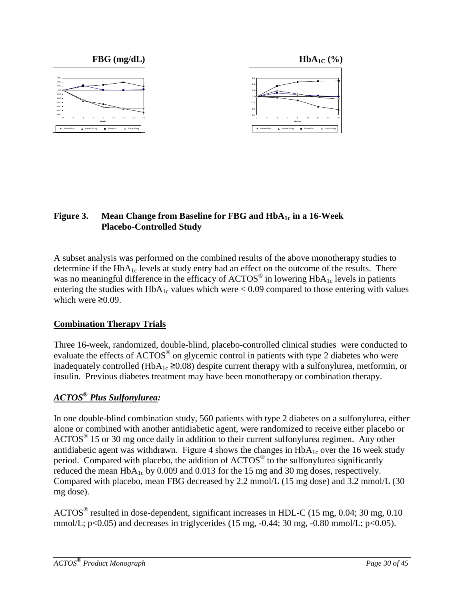

### **Figure 3.** Mean Change from Baseline for FBG and  $HbA_{1c}$  in a 16-Week **Placebo-Controlled Study**

A subset analysis was performed on the combined results of the above monotherapy studies to determine if the  $HbA_{1c}$  levels at study entry had an effect on the outcome of the results. There was no meaningful difference in the efficacy of  $\text{ACTOS}^{\circledcirc}$  in lowering  $\text{HbA}_{1c}$  levels in patients entering the studies with  $HbA_{1c}$  values which were  $< 0.09$  compared to those entering with values which were  $\geq 0.09$ .

## **Combination Therapy Trials**

Three 16-week, randomized, double-blind, placebo-controlled clinical studies were conducted to evaluate the effects of ACTOS<sup>®</sup> on glycemic control in patients with type 2 diabetes who were inadequately controlled (HbA<sub>1c</sub> ≥0.08) despite current therapy with a sulfonylurea, metformin, or insulin. Previous diabetes treatment may have been monotherapy or combination therapy.

## *ACTOS***®** *Plus Sulfonylurea:*

In one double-blind combination study, 560 patients with type 2 diabetes on a sulfonylurea, either alone or combined with another antidiabetic agent, were randomized to receive either placebo or  $\text{ACTOS}^{\circledast}$  15 or 30 mg once daily in addition to their current sulfonylurea regimen. Any other antidiabetic agent was withdrawn. Figure 4 shows the changes in  $HbA_{1c}$  over the 16 week study period. Compared with placebo, the addition of  $\text{ACTOS}^{\circledast}$  to the sulfonylurea significantly reduced the mean  $HbA_{1c}$  by 0.009 and 0.013 for the 15 mg and 30 mg doses, respectively. Compared with placebo, mean FBG decreased by 2.2 mmol/L (15 mg dose) and 3.2 mmol/L (30 mg dose).

ACTOS® resulted in dose-dependent, significant increases in HDL-C (15 mg, 0.04; 30 mg, 0.10 mmol/L;  $p<0.05$ ) and decreases in triglycerides (15 mg,  $-0.44$ ; 30 mg,  $-0.80$  mmol/L;  $p<0.05$ ).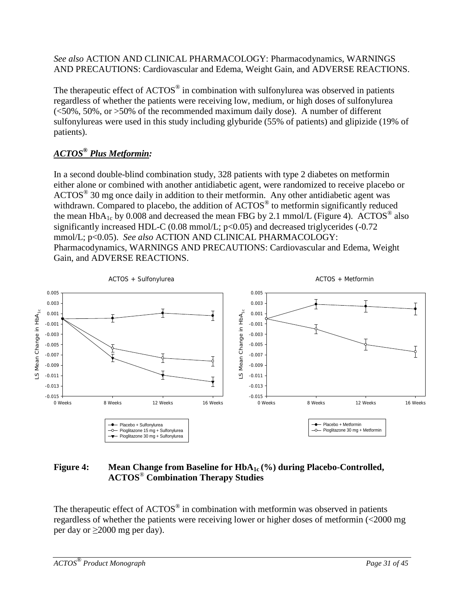*See also* ACTION AND CLINICAL PHARMACOLOGY: Pharmacodynamics, WARNINGS AND PRECAUTIONS: Cardiovascular and Edema, Weight Gain, and ADVERSE REACTIONS.

The therapeutic effect of ACTOS<sup>®</sup> in combination with sulfonylurea was observed in patients regardless of whether the patients were receiving low, medium, or high doses of sulfonylurea (<50%, 50%, or >50% of the recommended maximum daily dose). A number of different sulfonylureas were used in this study including glyburide (55% of patients) and glipizide (19% of patients).

## *ACTOS***®** *Plus Metformin:*

In a second double-blind combination study, 328 patients with type 2 diabetes on metformin either alone or combined with another antidiabetic agent, were randomized to receive placebo or  $\text{ACTOS}^{\circledast}$  30 mg once daily in addition to their metformin. Any other antidiabetic agent was withdrawn. Compared to placebo, the addition of ACTOS<sup>®</sup> to metformin significantly reduced the mean  $HbA_{1c}$  by 0.008 and decreased the mean FBG by 2.1 mmol/L (Figure 4). ACTOS<sup>®</sup> also significantly increased HDL-C (0.08 mmol/L; p<0.05) and decreased triglycerides (-0.72 mmol/L; p<0.05). *See also* ACTION AND CLINICAL PHARMACOLOGY: Pharmacodynamics, WARNINGS AND PRECAUTIONS: Cardiovascular and Edema, Weight Gain, and ADVERSE REACTIONS.



### Figure 4: Mean Change from Baseline for HbA<sub>1c</sub> (%) during Placebo-Controlled, **ACTOS**® **Combination Therapy Studies**

The therapeutic effect of  $\text{ACTOS}^{\circledcirc}$  in combination with metformin was observed in patients regardless of whether the patients were receiving lower or higher doses of metformin (<2000 mg per day or  $\geq$ 2000 mg per day).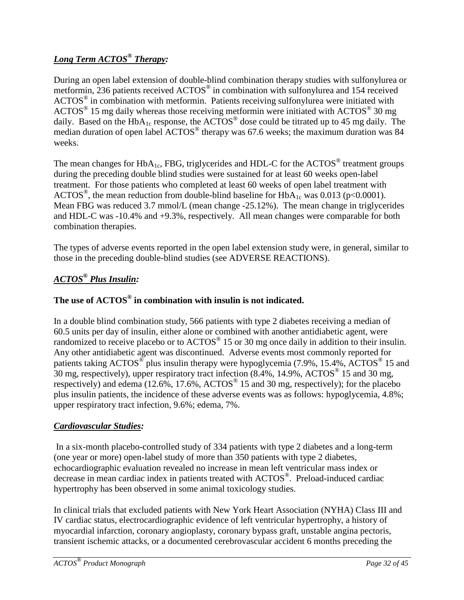## *Long Term ACTOS® Therapy:*

During an open label extension of double-blind combination therapy studies with sulfonylurea or metformin, 236 patients received ACTOS® in combination with sulfonylurea and 154 received ACTOS® in combination with metformin. Patients receiving sulfonylurea were initiated with ACTOS® 15 mg daily whereas those receiving metformin were initiated with ACTOS® 30 mg daily. Based on the  $HbA_{1c}$  response, the ACTOS<sup>®</sup> dose could be titrated up to 45 mg daily. The median duration of open label ACTOS® therapy was 67.6 weeks; the maximum duration was 84 weeks.

The mean changes for  $HbA_{1c}$ , FBG, triglycerides and HDL-C for the ACTOS<sup>®</sup> treatment groups during the preceding double blind studies were sustained for at least 60 weeks open-label treatment. For those patients who completed at least 60 weeks of open label treatment with ACTOS<sup>®</sup>, the mean reduction from double-blind baseline for  $HbA_{1c}$  was 0.013 (p<0.0001). Mean FBG was reduced 3.7 mmol/L (mean change -25.12%). The mean change in triglycerides and HDL-C was -10.4% and +9.3%, respectively. All mean changes were comparable for both combination therapies.

The types of adverse events reported in the open label extension study were, in general, similar to those in the preceding double-blind studies (see ADVERSE REACTIONS).

## *ACTOS® Plus Insulin:*

## **The use of ACTOS® in combination with insulin is not indicated.**

In a double blind combination study, 566 patients with type 2 diabetes receiving a median of 60.5 units per day of insulin, either alone or combined with another antidiabetic agent, were randomized to receive placebo or to  $\text{ACTOS}^{\circledast}$  15 or 30 mg once daily in addition to their insulin. Any other antidiabetic agent was discontinued. Adverse events most commonly reported for patients taking  $\text{ACTOS}^{\circledcirc}$  plus insulin therapy were hypoglycemia (7.9%, 15.4%,  $\text{ACTOS}^{\circledcirc}$  15 and 30 mg, respectively), upper respiratory tract infection (8.4%, 14.9%, ACTOS® 15 and 30 mg, respectively) and edema (12.6%, 17.6%,  $\text{ACTOS}^{\circledcirc}$  15 and 30 mg, respectively); for the placebo plus insulin patients, the incidence of these adverse events was as follows: hypoglycemia, 4.8%; upper respiratory tract infection, 9.6%; edema, 7%.

#### *Cardiovascular Studies:*

In a six-month placebo-controlled study of 334 patients with type 2 diabetes and a long-term (one year or more) open-label study of more than 350 patients with type 2 diabetes, echocardiographic evaluation revealed no increase in mean left ventricular mass index or decrease in mean cardiac index in patients treated with ACTOS®. Preload-induced cardiac hypertrophy has been observed in some animal toxicology studies.

In clinical trials that excluded patients with New York Heart Association (NYHA) Class III and IV cardiac status, electrocardiographic evidence of left ventricular hypertrophy, a history of myocardial infarction, coronary angioplasty, coronary bypass graft, unstable angina pectoris, transient ischemic attacks, or a documented cerebrovascular accident 6 months preceding the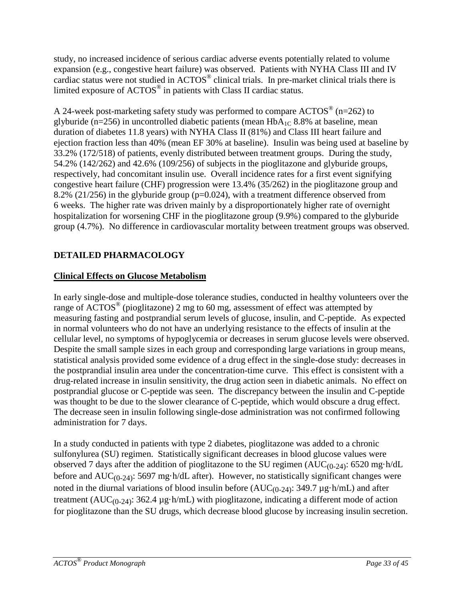study, no increased incidence of serious cardiac adverse events potentially related to volume expansion (e.g., congestive heart failure) was observed. Patients with NYHA Class III and IV cardiac status were not studied in ACTOS® clinical trials. In pre-market clinical trials there is limited exposure of ACTOS® in patients with Class II cardiac status.

A 24-week post-marketing safety study was performed to compare  $\text{ACTOS}^{\circledast}$  (n=262) to glyburide (n=256) in uncontrolled diabetic patients (mean  $HbA_{1C}$  8.8% at baseline, mean duration of diabetes 11.8 years) with NYHA Class II (81%) and Class III heart failure and ejection fraction less than 40% (mean EF 30% at baseline). Insulin was being used at baseline by 33.2% (172/518) of patients, evenly distributed between treatment groups. During the study, 54.2% (142/262) and 42.6% (109/256) of subjects in the pioglitazone and glyburide groups, respectively, had concomitant insulin use. Overall incidence rates for a first event signifying congestive heart failure (CHF) progression were 13.4% (35/262) in the pioglitazone group and 8.2% (21/256) in the glyburide group (p=0.024), with a treatment difference observed from 6 weeks. The higher rate was driven mainly by a disproportionately higher rate of overnight hospitalization for worsening CHF in the pioglitazone group (9.9%) compared to the glyburide group (4.7%). No difference in cardiovascular mortality between treatment groups was observed.

## <span id="page-32-0"></span>**DETAILED PHARMACOLOGY**

## **Clinical Effects on Glucose Metabolism**

In early single-dose and multiple-dose tolerance studies, conducted in healthy volunteers over the range of ACTOS® (pioglitazone) 2 mg to 60 mg, assessment of effect was attempted by measuring fasting and postprandial serum levels of glucose, insulin, and C-peptide. As expected in normal volunteers who do not have an underlying resistance to the effects of insulin at the cellular level, no symptoms of hypoglycemia or decreases in serum glucose levels were observed. Despite the small sample sizes in each group and corresponding large variations in group means, statistical analysis provided some evidence of a drug effect in the single-dose study: decreases in the postprandial insulin area under the concentration-time curve. This effect is consistent with a drug-related increase in insulin sensitivity, the drug action seen in diabetic animals. No effect on postprandial glucose or C-peptide was seen. The discrepancy between the insulin and C-peptide was thought to be due to the slower clearance of C-peptide, which would obscure a drug effect. The decrease seen in insulin following single-dose administration was not confirmed following administration for 7 days.

In a study conducted in patients with type 2 diabetes, pioglitazone was added to a chronic sulfonylurea (SU) regimen. Statistically significant decreases in blood glucose values were observed 7 days after the addition of pioglitazone to the SU regimen  $(AUC_{(0-24)}$ : 6520 mg·h/dL before and  $AUC_{(0-24)}$ : 5697 mg·h/dL after). However, no statistically significant changes were noted in the diurnal variations of blood insulin before  $(AUC_{(0-24)}$ : 349.7 µg·h/mL) and after treatment ( $AUC_{(0-24)}$ : 362.4 µg·h/mL) with pioglitazone, indicating a different mode of action for pioglitazone than the SU drugs, which decrease blood glucose by increasing insulin secretion.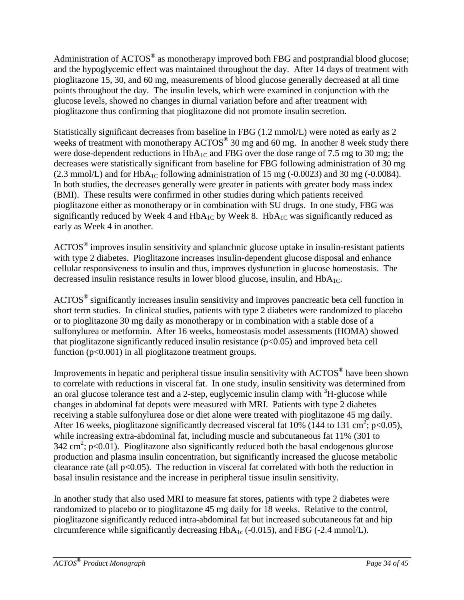Administration of  $\text{ACTOS}^{\circledast}$  as monotherapy improved both FBG and postprandial blood glucose; and the hypoglycemic effect was maintained throughout the day. After 14 days of treatment with pioglitazone 15, 30, and 60 mg, measurements of blood glucose generally decreased at all time points throughout the day. The insulin levels, which were examined in conjunction with the glucose levels, showed no changes in diurnal variation before and after treatment with pioglitazone thus confirming that pioglitazone did not promote insulin secretion.

Statistically significant decreases from baseline in FBG (1.2 mmol/L) were noted as early as 2 weeks of treatment with monotherapy ACTOS<sup>®</sup> 30 mg and 60 mg. In another 8 week study there were dose-dependent reductions in  $HbA_{1C}$  and FBG over the dose range of 7.5 mg to 30 mg; the decreases were statistically significant from baseline for FBG following administration of 30 mg  $(2.3 \text{ mmol/L})$  and for HbA<sub>1C</sub> following administration of 15 mg  $(-0.0023)$  and 30 mg  $(-0.0084)$ . In both studies, the decreases generally were greater in patients with greater body mass index (BMI). These results were confirmed in other studies during which patients received pioglitazone either as monotherapy or in combination with SU drugs. In one study, FBG was significantly reduced by Week 4 and  $HbA_{1C}$  by Week 8.  $HbA_{1C}$  was significantly reduced as early as Week 4 in another.

ACTOS® improves insulin sensitivity and splanchnic glucose uptake in insulin-resistant patients with type 2 diabetes. Pioglitazone increases insulin-dependent glucose disposal and enhance cellular responsiveness to insulin and thus, improves dysfunction in glucose homeostasis. The decreased insulin resistance results in lower blood glucose, insulin, and  $HbA_{1C}$ .

ACTOS® significantly increases insulin sensitivity and improves pancreatic beta cell function in short term studies. In clinical studies, patients with type 2 diabetes were randomized to placebo or to pioglitazone 30 mg daily as monotherapy or in combination with a stable dose of a sulfonylurea or metformin. After 16 weeks, homeostasis model assessments (HOMA) showed that pioglitazone significantly reduced insulin resistance  $(p<0.05)$  and improved beta cell function (p<0.001) in all pioglitazone treatment groups.

Improvements in hepatic and peripheral tissue insulin sensitivity with ACTOS® have been shown to correlate with reductions in visceral fat. In one study, insulin sensitivity was determined from an oral glucose tolerance test and a 2-step, euglycemic insulin clamp with  ${}^{3}H$ -glucose while changes in abdominal fat depots were measured with MRI. Patients with type 2 diabetes receiving a stable sulfonylurea dose or diet alone were treated with pioglitazone 45 mg daily. After 16 weeks, pioglitazone significantly decreased visceral fat 10% (144 to 131 cm<sup>2</sup>; p<0.05), while increasing extra-abdominal fat, including muscle and subcutaneous fat 11% (301 to 342 cm<sup>2</sup>; p<0.01). Pioglitazone also significantly reduced both the basal endogenous glucose production and plasma insulin concentration, but significantly increased the glucose metabolic clearance rate (all  $p<0.05$ ). The reduction in visceral fat correlated with both the reduction in basal insulin resistance and the increase in peripheral tissue insulin sensitivity.

In another study that also used MRI to measure fat stores, patients with type 2 diabetes were randomized to placebo or to pioglitazone 45 mg daily for 18 weeks. Relative to the control, pioglitazone significantly reduced intra-abdominal fat but increased subcutaneous fat and hip circumference while significantly decreasing  $HbA_{1c}$  (-0.015), and FBG (-2.4 mmol/L).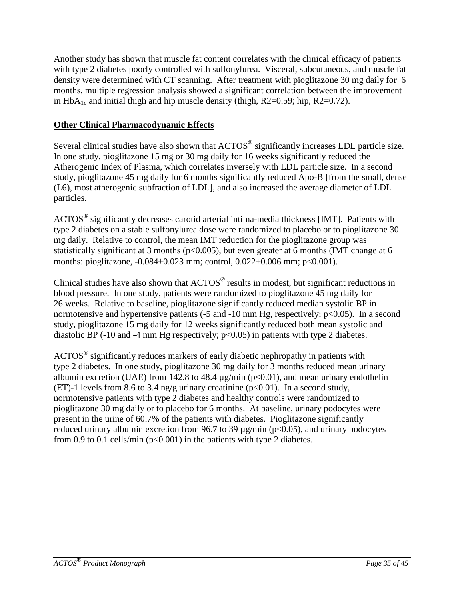Another study has shown that muscle fat content correlates with the clinical efficacy of patients with type 2 diabetes poorly controlled with sulfonylurea. Visceral, subcutaneous, and muscle fat density were determined with CT scanning. After treatment with pioglitazone 30 mg daily for 6 months, multiple regression analysis showed a significant correlation between the improvement in  $HbA_{1c}$  and initial thigh and hip muscle density (thigh, R2=0.59; hip, R2=0.72).

## **Other Clinical Pharmacodynamic Effects**

Several clinical studies have also shown that  $\text{ACTOS}^{\circledast}$  significantly increases LDL particle size. In one study, pioglitazone 15 mg or 30 mg daily for 16 weeks significantly reduced the Atherogenic Index of Plasma, which correlates inversely with LDL particle size. In a second study, pioglitazone 45 mg daily for 6 months significantly reduced Apo-B [from the small, dense (L6), most atherogenic subfraction of LDL], and also increased the average diameter of LDL particles.

ACTOS® significantly decreases carotid arterial intima-media thickness [IMT]. Patients with type 2 diabetes on a stable sulfonylurea dose were randomized to placebo or to pioglitazone 30 mg daily. Relative to control, the mean IMT reduction for the pioglitazone group was statistically significant at 3 months (p<0.005), but even greater at 6 months (IMT change at 6 months: pioglitazone, -0.084±0.023 mm; control, 0.022±0.006 mm; p<0.001).

Clinical studies have also shown that ACTOS® results in modest, but significant reductions in blood pressure. In one study, patients were randomized to pioglitazone 45 mg daily for 26 weeks. Relative to baseline, pioglitazone significantly reduced median systolic BP in normotensive and hypertensive patients  $(-5 \text{ and } -10 \text{ mm Hg})$ , respectively;  $p < 0.05$ ). In a second study, pioglitazone 15 mg daily for 12 weeks significantly reduced both mean systolic and diastolic BP  $(-10 \text{ and } -4 \text{ mm Hg respectively; } p<0.05)$  in patients with type 2 diabetes.

ACTOS® significantly reduces markers of early diabetic nephropathy in patients with type 2 diabetes. In one study, pioglitazone 30 mg daily for 3 months reduced mean urinary albumin excretion (UAE) from 142.8 to 48.4  $\mu$ g/min (p<0.01), and mean urinary endothelin (ET)-1 levels from 8.6 to 3.4 ng/g urinary creatinine ( $p<0.01$ ). In a second study, normotensive patients with type 2 diabetes and healthy controls were randomized to pioglitazone 30 mg daily or to placebo for 6 months. At baseline, urinary podocytes were present in the urine of 60.7% of the patients with diabetes. Pioglitazone significantly reduced urinary albumin excretion from 96.7 to 39  $\mu$ g/min (p<0.05), and urinary podocytes from 0.9 to 0.1 cells/min ( $p<0.001$ ) in the patients with type 2 diabetes.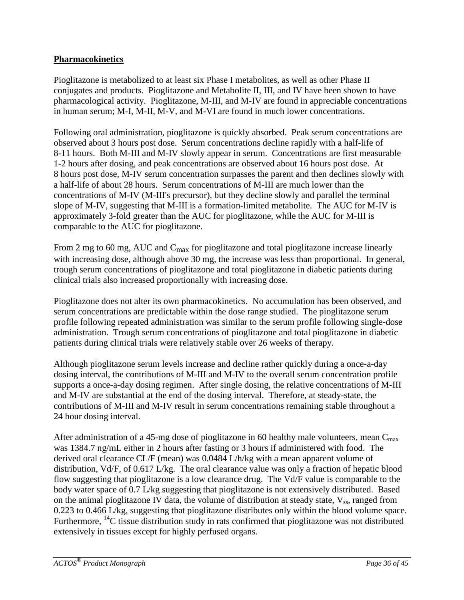### **Pharmacokinetics**

Pioglitazone is metabolized to at least six Phase I metabolites, as well as other Phase II conjugates and products. Pioglitazone and Metabolite II, III, and IV have been shown to have pharmacological activity. Pioglitazone, M-III, and M-IV are found in appreciable concentrations in human serum; M-I, M-II, M-V, and M-VI are found in much lower concentrations.

Following oral administration, pioglitazone is quickly absorbed. Peak serum concentrations are observed about 3 hours post dose. Serum concentrations decline rapidly with a half-life of 8-11 hours. Both M-III and M-IV slowly appear in serum. Concentrations are first measurable 1-2 hours after dosing, and peak concentrations are observed about 16 hours post dose. At 8 hours post dose, M-IV serum concentration surpasses the parent and then declines slowly with a half-life of about 28 hours. Serum concentrations of M-III are much lower than the concentrations of M-IV (M-III's precursor), but they decline slowly and parallel the terminal slope of M-IV, suggesting that M-III is a formation-limited metabolite. The AUC for M-IV is approximately 3-fold greater than the AUC for pioglitazone, while the AUC for M-III is comparable to the AUC for pioglitazone.

From 2 mg to 60 mg, AUC and  $C_{\text{max}}$  for pioglitazone and total pioglitazone increase linearly with increasing dose, although above 30 mg, the increase was less than proportional. In general, trough serum concentrations of pioglitazone and total pioglitazone in diabetic patients during clinical trials also increased proportionally with increasing dose.

Pioglitazone does not alter its own pharmacokinetics. No accumulation has been observed, and serum concentrations are predictable within the dose range studied. The pioglitazone serum profile following repeated administration was similar to the serum profile following single-dose administration. Trough serum concentrations of pioglitazone and total pioglitazone in diabetic patients during clinical trials were relatively stable over 26 weeks of therapy.

Although pioglitazone serum levels increase and decline rather quickly during a once-a-day dosing interval, the contributions of M-III and M-IV to the overall serum concentration profile supports a once-a-day dosing regimen. After single dosing, the relative concentrations of M-III and M-IV are substantial at the end of the dosing interval. Therefore, at steady-state, the contributions of M-III and M-IV result in serum concentrations remaining stable throughout a 24 hour dosing interval.

After administration of a 45-mg dose of pioglitazone in 60 healthy male volunteers, mean  $C_{\text{max}}$ was 1384.7 ng/mL either in 2 hours after fasting or 3 hours if administered with food. The derived oral clearance CL/F (mean) was 0.0484 L/h/kg with a mean apparent volume of distribution, Vd/F, of 0.617 L/kg. The oral clearance value was only a fraction of hepatic blood flow suggesting that pioglitazone is a low clearance drug. The Vd/F value is comparable to the body water space of 0.7 L/kg suggesting that pioglitazone is not extensively distributed. Based on the animal pioglitazone IV data, the volume of distribution at steady state,  $V_{ss}$ , ranged from 0.223 to 0.466 L/kg, suggesting that pioglitazone distributes only within the blood volume space. Furthermore,  $^{14}$ C tissue distribution study in rats confirmed that pioglitazone was not distributed extensively in tissues except for highly perfused organs.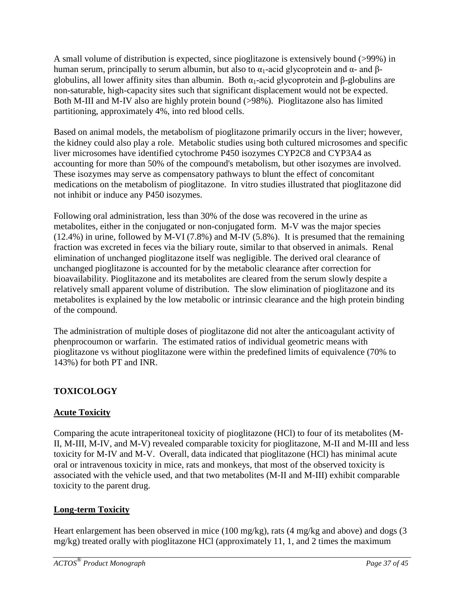A small volume of distribution is expected, since pioglitazone is extensively bound (>99%) in human serum, principally to serum albumin, but also to  $\alpha_1$ -acid glycoprotein and  $\alpha$ - and βglobulins, all lower affinity sites than albumin. Both  $α_1$ -acid glycoprotein and β-globulins are non-saturable, high-capacity sites such that significant displacement would not be expected. Both M-III and M-IV also are highly protein bound (>98%). Pioglitazone also has limited partitioning, approximately 4%, into red blood cells.

Based on animal models, the metabolism of pioglitazone primarily occurs in the liver; however, the kidney could also play a role. Metabolic studies using both cultured microsomes and specific liver microsomes have identified cytochrome P450 isozymes CYP2C8 and CYP3A4 as accounting for more than 50% of the compound's metabolism, but other isozymes are involved. These isozymes may serve as compensatory pathways to blunt the effect of concomitant medications on the metabolism of pioglitazone. In vitro studies illustrated that pioglitazone did not inhibit or induce any P450 isozymes.

Following oral administration, less than 30% of the dose was recovered in the urine as metabolites, either in the conjugated or non-conjugated form. M-V was the major species (12.4%) in urine, followed by M-VI (7.8%) and M-IV (5.8%). It is presumed that the remaining fraction was excreted in feces via the biliary route, similar to that observed in animals. Renal elimination of unchanged pioglitazone itself was negligible. The derived oral clearance of unchanged pioglitazone is accounted for by the metabolic clearance after correction for bioavailability. Pioglitazone and its metabolites are cleared from the serum slowly despite a relatively small apparent volume of distribution. The slow elimination of pioglitazone and its metabolites is explained by the low metabolic or intrinsic clearance and the high protein binding of the compound.

The administration of multiple doses of pioglitazone did not alter the anticoagulant activity of phenprocoumon or warfarin. The estimated ratios of individual geometric means with pioglitazone vs without pioglitazone were within the predefined limits of equivalence (70% to 143%) for both PT and INR.

## <span id="page-36-0"></span>**TOXICOLOGY**

## **Acute Toxicity**

Comparing the acute intraperitoneal toxicity of pioglitazone (HCl) to four of its metabolites (M-II, M-III, M-IV, and M-V) revealed comparable toxicity for pioglitazone, M-II and M-III and less toxicity for M-IV and M-V. Overall, data indicated that pioglitazone (HCl) has minimal acute oral or intravenous toxicity in mice, rats and monkeys, that most of the observed toxicity is associated with the vehicle used, and that two metabolites (M-II and M-III) exhibit comparable toxicity to the parent drug.

## **Long-term Toxicity**

Heart enlargement has been observed in mice (100 mg/kg), rats (4 mg/kg and above) and dogs (3 mg/kg) treated orally with pioglitazone HCl (approximately 11, 1, and 2 times the maximum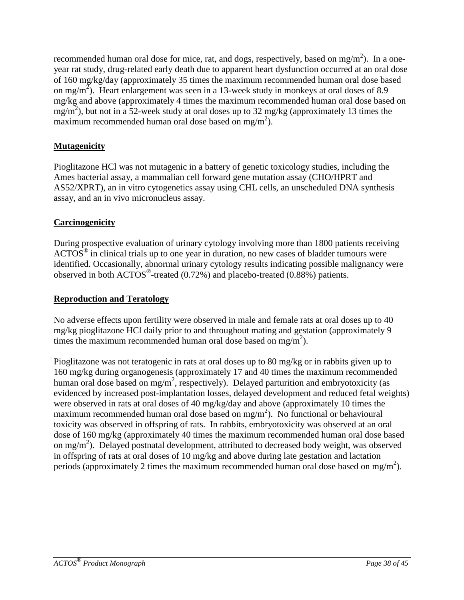recommended human oral dose for mice, rat, and dogs, respectively, based on mg/m<sup>2</sup>). In a oneyear rat study, drug-related early death due to apparent heart dysfunction occurred at an oral dose of 160 mg/kg/day (approximately 35 times the maximum recommended human oral dose based on mg/m<sup>2</sup>). Heart enlargement was seen in a 13-week study in monkeys at oral doses of 8.9 mg/kg and above (approximately 4 times the maximum recommended human oral dose based on  $mg/m<sup>2</sup>$ ), but not in a 52-week study at oral doses up to 32 mg/kg (approximately 13 times the maximum recommended human oral dose based on mg/m<sup>2</sup>).

## **Mutagenicity**

Pioglitazone HCl was not mutagenic in a battery of genetic toxicology studies, including the Ames bacterial assay, a mammalian cell forward gene mutation assay (CHO/HPRT and AS52/XPRT), an in vitro cytogenetics assay using CHL cells, an unscheduled DNA synthesis assay, and an in vivo micronucleus assay.

### **Carcinogenicity**

During prospective evaluation of urinary cytology involving more than 1800 patients receiving  $\text{ACTOS}^{\circledast}$  in clinical trials up to one year in duration, no new cases of bladder tumours were identified. Occasionally, abnormal urinary cytology results indicating possible malignancy were observed in both ACTOS®-treated (0.72%) and placebo-treated (0.88%) patients.

## **Reproduction and Teratology**

No adverse effects upon fertility were observed in male and female rats at oral doses up to 40 mg/kg pioglitazone HCl daily prior to and throughout mating and gestation (approximately 9 times the maximum recommended human oral dose based on mg/m<sup>2</sup>).

Pioglitazone was not teratogenic in rats at oral doses up to 80 mg/kg or in rabbits given up to 160 mg/kg during organogenesis (approximately 17 and 40 times the maximum recommended human oral dose based on  $mg/m^2$ , respectively). Delayed parturition and embryotoxicity (as evidenced by increased post-implantation losses, delayed development and reduced fetal weights) were observed in rats at oral doses of 40 mg/kg/day and above (approximately 10 times the maximum recommended human oral dose based on  $mg/m<sup>2</sup>$ ). No functional or behavioural toxicity was observed in offspring of rats. In rabbits, embryotoxicity was observed at an oral dose of 160 mg/kg (approximately 40 times the maximum recommended human oral dose based on mg/m<sup>2</sup>). Delayed postnatal development, attributed to decreased body weight, was observed in offspring of rats at oral doses of 10 mg/kg and above during late gestation and lactation periods (approximately 2 times the maximum recommended human oral dose based on mg/m<sup>2</sup>).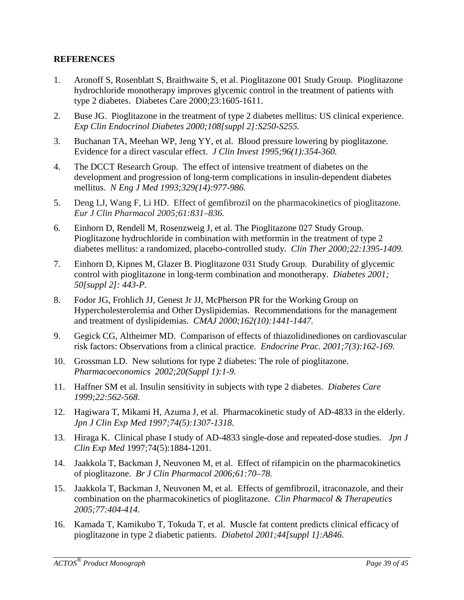#### <span id="page-38-0"></span>**REFERENCES**

- 1. Aronoff S, Rosenblatt S, Braithwaite S, et al. Pioglitazone 001 Study Group. Pioglitazone hydrochloride monotherapy improves glycemic control in the treatment of patients with type 2 diabetes. Diabetes Care 2000;23:1605-1611.
- 2. Buse JG. Pioglitazone in the treatment of type 2 diabetes mellitus: US clinical experience. *Exp Clin Endocrinol Diabetes 2000;108[suppl 2]:S250-S255.*
- 3. Buchanan TA, Meehan WP, Jeng YY, et al. Blood pressure lowering by pioglitazone. Evidence for a direct vascular effect. *J Clin Invest 1995;96(1):354-360.*
- 4. The DCCT Research Group. The effect of intensive treatment of diabetes on the development and progression of long-term complications in insulin-dependent diabetes mellitus. *N Eng J Med 1993;329(14):977-986.*
- 5. Deng LJ, Wang F, Li HD. Effect of gemfibrozil on the pharmacokinetics of pioglitazone. *Eur J Clin Pharmacol 2005;61:831–836.*
- 6. Einhorn D, Rendell M, Rosenzweig J, et al. The Pioglitazone 027 Study Group. Pioglitazone hydrochloride in combination with metformin in the treatment of type 2 diabetes mellitus: a randomized, placebo-controlled study. *Clin Ther 2000;22:1395-1409.*
- 7. Einhorn D, Kipnes M, Glazer B. Pioglitazone 031 Study Group. Durability of glycemic control with pioglitazone in long-term combination and monotherapy. *Diabetes 2001; 50[suppl 2]: 443-P.*
- 8. Fodor JG, Frohlich JJ, Genest Jr JJ, McPherson PR for the Working Group on Hypercholesterolemia and Other Dyslipidemias. Recommendations for the management and treatment of dyslipidemias. *CMAJ 2000;162(10):1441-1447.*
- 9. Gegick CG, Altheimer MD. Comparison of effects of thiazolidinediones on cardiovascular risk factors: Observations from a clinical practice. *Endocrine Prac. 2001;7(3):162-169.*
- 10. Grossman LD. New solutions for type 2 diabetes: The role of pioglitazone. *Pharmacoeconomics 2002;20(Suppl 1):1-9.*
- 11. Haffner SM et al. Insulin sensitivity in subjects with type 2 diabetes. *Diabetes Care 1999;22:562-568.*
- 12. Hagiwara T, Mikami H, Azuma J, et al. Pharmacokinetic study of AD-4833 in the elderly. *Jpn J Clin Exp Med 1997;74(5):1307-1318.*
- 13. Hiraga K. Clinical phase I study of AD-4833 single-dose and repeated-dose studies. *Jpn J Clin Exp Med* 1997;74(5):1884-1201.
- 14. Jaakkola T, Backman J, Neuvonen M, et al. Effect of rifampicin on the pharmacokinetics of pioglitazone. *Br J Clin Pharmacol 2006;61:70–78.*
- 15. Jaakkola T, Backman J, Neuvonen M, et al. Effects of gemfibrozil, itraconazole, and their combination on the pharmacokinetics of pioglitazone. *Clin Pharmacol & Therapeutics 2005;77:404-414.*
- 16. Kamada T, Kamikubo T, Tokuda T, et al. Muscle fat content predicts clinical efficacy of pioglitazone in type 2 diabetic patients. *Diabetol 2001;44[suppl 1]:A846.*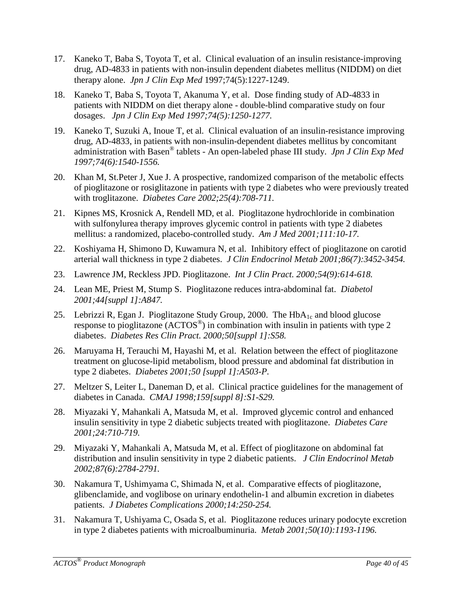- 17. Kaneko T, Baba S, Toyota T, et al. Clinical evaluation of an insulin resistance-improving drug, AD-4833 in patients with non-insulin dependent diabetes mellitus (NIDDM) on diet therapy alone. *Jpn J Clin Exp Med* 1997;74(5):1227-1249.
- 18. Kaneko T, Baba S, Toyota T, Akanuma Y, et al. Dose finding study of AD-4833 in patients with NIDDM on diet therapy alone - double-blind comparative study on four dosages. *Jpn J Clin Exp Med 1997;74(5):1250-1277.*
- 19. Kaneko T, Suzuki A, Inoue T, et al*.* Clinical evaluation of an insulin-resistance improving drug, AD-4833, in patients with non-insulin-dependent diabetes mellitus by concomitant administration with Basen® tablets - An open-labeled phase III study. *Jpn J Clin Exp Med 1997;74(6):1540-1556.*
- 20. Khan M, St.Peter J, Xue J. A prospective, randomized comparison of the metabolic effects of pioglitazone or rosiglitazone in patients with type 2 diabetes who were previously treated with troglitazone. *Diabetes Care 2002;25(4):708-711.*
- 21. Kipnes MS, Krosnick A, Rendell MD, et al. Pioglitazone hydrochloride in combination with sulfonylurea therapy improves glycemic control in patients with type 2 diabetes mellitus: a randomized, placebo-controlled study. *Am J Med 2001;111:10-17.*
- 22. Koshiyama H, Shimono D, Kuwamura N, et al. Inhibitory effect of pioglitazone on carotid arterial wall thickness in type 2 diabetes. *J Clin Endocrinol Metab 2001;86(7):3452-3454.*
- 23. Lawrence JM, Reckless JPD. Pioglitazone. *Int J Clin Pract. 2000;54(9):614-618.*
- 24. Lean ME, Priest M, Stump S. Pioglitazone reduces intra-abdominal fat. *Diabetol 2001;44[suppl 1]:A847.*
- 25. Lebrizzi R, Egan J. Pioglitazone Study Group, 2000. The  $HbA_{1c}$  and blood glucose response to pioglitazone (ACTOS®) in combination with insulin in patients with type 2 diabetes. *Diabetes Res Clin Pract. 2000;50[suppl 1]:S58.*
- 26. Maruyama H, Terauchi M, Hayashi M, et al. Relation between the effect of pioglitazone treatment on glucose-lipid metabolism, blood pressure and abdominal fat distribution in type 2 diabetes. *Diabetes 2001;50 [suppl 1]:A503-P.*
- 27. Meltzer S, Leiter L, Daneman D, et al. Clinical practice guidelines for the management of diabetes in Canada. *CMAJ 1998;159[suppl 8]:S1-S29.*
- 28. Miyazaki Y, Mahankali A, Matsuda M, et al. Improved glycemic control and enhanced insulin sensitivity in type 2 diabetic subjects treated with pioglitazone. *Diabetes Care 2001;24:710-719.*
- 29. Miyazaki Y, Mahankali A, Matsuda M, et al. Effect of pioglitazone on abdominal fat distribution and insulin sensitivity in type 2 diabetic patients. *J Clin Endocrinol Metab 2002;87(6):2784-2791.*
- 30. Nakamura T, Ushimyama C, Shimada N, et al. Comparative effects of pioglitazone, glibenclamide, and voglibose on urinary endothelin-1 and albumin excretion in diabetes patients. *J Diabetes Complications 2000;14:250-254.*
- 31. Nakamura T, Ushiyama C, Osada S, et al. Pioglitazone reduces urinary podocyte excretion in type 2 diabetes patients with microalbuminuria. *Metab 2001;50(10):1193-1196.*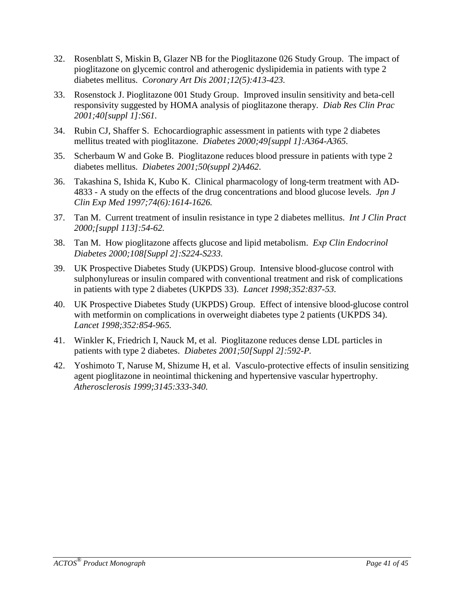- 32. Rosenblatt S, Miskin B, Glazer NB for the Pioglitazone 026 Study Group. The impact of pioglitazone on glycemic control and atherogenic dyslipidemia in patients with type 2 diabetes mellitus. *Coronary Art Dis 2001;12(5):413-423.*
- 33. Rosenstock J. Pioglitazone 001 Study Group. Improved insulin sensitivity and beta-cell responsivity suggested by HOMA analysis of pioglitazone therapy. *Diab Res Clin Prac 2001;40[suppl 1]:S61.*
- 34. Rubin CJ, Shaffer S. Echocardiographic assessment in patients with type 2 diabetes mellitus treated with pioglitazone. *Diabetes 2000;49[suppl 1]:A364-A365.*
- 35. Scherbaum W and Goke B. Pioglitazone reduces blood pressure in patients with type 2 diabetes mellitus. *Diabetes 2001;50(suppl 2)A462.*
- 36. Takashina S, Ishida K, Kubo K. Clinical pharmacology of long-term treatment with AD-4833 - A study on the effects of the drug concentrations and blood glucose levels. *Jpn J Clin Exp Med 1997;74(6):1614-1626.*
- 37. Tan M. Current treatment of insulin resistance in type 2 diabetes mellitus. *Int J Clin Pract 2000;[suppl 113]:54-62.*
- 38. Tan M. How pioglitazone affects glucose and lipid metabolism. *Exp Clin Endocrinol Diabetes 2000;108[Suppl 2]:S224-S233.*
- 39. UK Prospective Diabetes Study (UKPDS) Group. Intensive blood-glucose control with sulphonylureas or insulin compared with conventional treatment and risk of complications in patients with type 2 diabetes (UKPDS 33). *Lancet 1998;352:837-53.*
- 40. UK Prospective Diabetes Study (UKPDS) Group. Effect of intensive blood-glucose control with metformin on complications in overweight diabetes type 2 patients (UKPDS 34). *Lancet 1998;352:854-965.*
- 41. Winkler K, Friedrich I, Nauck M, et al. Pioglitazone reduces dense LDL particles in patients with type 2 diabetes. *Diabetes 2001;50[Suppl 2]:592-P.*
- 42. Yoshimoto T, Naruse M, Shizume H, et al. Vasculo-protective effects of insulin sensitizing agent pioglitazone in neointimal thickening and hypertensive vascular hypertrophy. *Atherosclerosis 1999;3145:333-340.*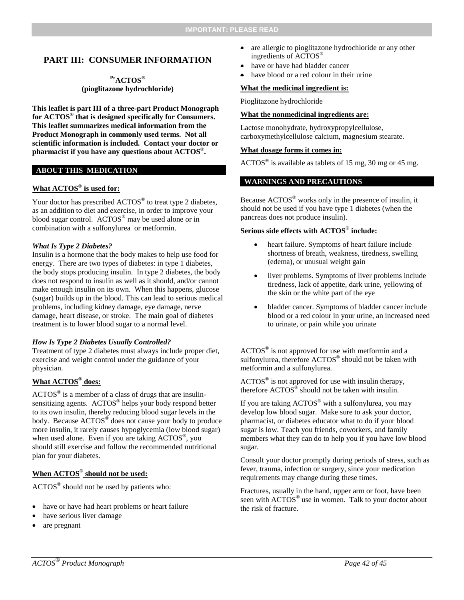#### <span id="page-41-0"></span>**PART III: CONSUMER INFORMATION**

#### **PrACTOS® (pioglitazone hydrochloride)**

**This leaflet is part III of a three-part Product Monograph for ACTOS**® **that is designed specifically for Consumers. This leaflet summarizes medical information from the Product Monograph in commonly used terms. Not all scientific information is included. Contact your doctor or pharmacist if you have any questions about ACTOS**®**.** 

#### **ABOUT THIS MEDICATION**

#### **What ACTOS**® **is used for:**

Your doctor has prescribed ACTOS<sup>®</sup> to treat type 2 diabetes, as an addition to diet and exercise, in order to improve your blood sugar control. ACTOS<sup>®</sup> may be used alone or in combination with a sulfonylurea or metformin.

#### *What Is Type 2 Diabetes?*

Insulin is a hormone that the body makes to help use food for energy. There are two types of diabetes: in type 1 diabetes, the body stops producing insulin. In type 2 diabetes, the body does not respond to insulin as well as it should, and/or cannot make enough insulin on its own. When this happens, glucose (sugar) builds up in the blood. This can lead to serious medical problems, including kidney damage, eye damage, nerve damage, heart disease, or stroke. The main goal of diabetes treatment is to lower blood sugar to a normal level.

#### *How Is Type 2 Diabetes Usually Controlled?*

Treatment of type 2 diabetes must always include proper diet, exercise and weight control under the guidance of your physician.

#### **What ACTOS® does:**

 $\text{ACTOS}^{\circledast}$  is a member of a class of drugs that are insulinsensitizing agents. ACTOS® helps your body respond better to its own insulin, thereby reducing blood sugar levels in the body. Because ACTOS<sup>®</sup> does not cause your body to produce more insulin, it rarely causes hypoglycemia (low blood sugar) when used alone. Even if you are taking  $\text{ACTOS}^{\circledast}$ , you should still exercise and follow the recommended nutritional plan for your diabetes.

#### **When ACTOS® should not be used:**

 $\text{ACTOS}^{\circledast}$  should not be used by patients who:

- have or have had heart problems or heart failure
- have serious liver damage
- are pregnant
- are allergic to pioglitazone hydrochloride or any other ingredients of ACTOS®
- have or have had bladder cancer
- have blood or a red colour in their urine

#### **What the medicinal ingredient is:**

Pioglitazone hydrochloride

#### **What the nonmedicinal ingredients are:**

Lactose monohydrate, hydroxypropylcellulose, carboxymethylcellulose calcium, magnesium stearate.

#### **What dosage forms it comes in:**

 $\text{ACTOS}^{\circledast}$  is available as tablets of 15 mg, 30 mg or 45 mg.

#### **WARNINGS AND PRECAUTIONS**

Because ACTOS® works only in the presence of insulin, it should not be used if you have type 1 diabetes (when the pancreas does not produce insulin).

#### **Serious side effects with ACTOS® include:**

- heart failure. Symptoms of heart failure include shortness of breath, weakness, tiredness, swelling (edema), or unusual weight gain
- liver problems. Symptoms of liver problems include tiredness, lack of appetite, dark urine, yellowing of the skin or the white part of the eye
- bladder cancer. Symptoms of bladder cancer include blood or a red colour in your urine, an increased need to urinate, or pain while you urinate

ACTOS® is not approved for use with metformin and a sulfonylurea, therefore  $\angle$ ACTOS<sup>®</sup> should not be taken with metformin and a sulfonylurea.

 $\text{ACTOS}^{\circledast}$  is not approved for use with insulin therapy, therefore  $\text{ACTOS}^{\circledast}$  should not be taken with insulin.

If you are taking  $\text{ACTOS}^{\circledast}$  with a sulfonylurea, you may develop low blood sugar. Make sure to ask your doctor, pharmacist, or diabetes educator what to do if your blood sugar is low. Teach you friends, coworkers, and family members what they can do to help you if you have low blood sugar.

Consult your doctor promptly during periods of stress, such as fever, trauma, infection or surgery, since your medication requirements may change during these times.

Fractures, usually in the hand, upper arm or foot, have been seen with  $\text{ACTOS}^{\circledast}$  use in women. Talk to your doctor about the risk of fracture.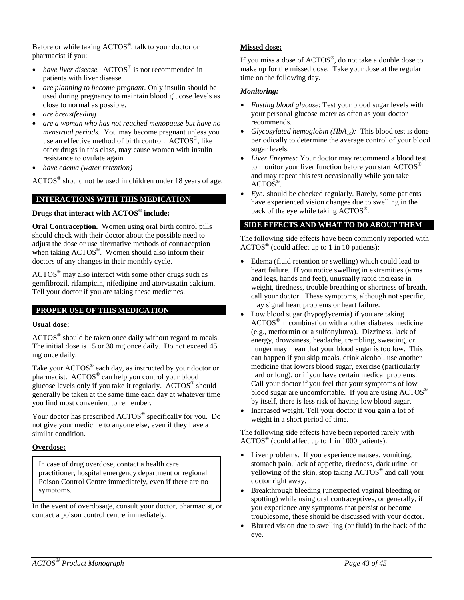Before or while taking ACTOS®, talk to your doctor or pharmacist if you:

- *have liver disease.* ACTOS<sup>®</sup> is not recommended in patients with liver disease.
- *are planning to become pregnant*. Only insulin should be used during pregnancy to maintain blood glucose levels as close to normal as possible.
- *are breastfeeding*
- *are a woman who has not reached menopause but have no menstrual periods.* You may become pregnant unless you use an effective method of birth control. ACTOS®, like other drugs in this class, may cause women with insulin resistance to ovulate again.
- *have edema (water retention)*

ACTOS® should not be used in children under 18 years of age.

#### **INTERACTIONS WITH THIS MEDICATION**

#### **Drugs that interact with ACTOS® include:**

**Oral Contraception.** Women using oral birth control pills should check with their doctor about the possible need to adjust the dose or use alternative methods of contraception when taking ACTOS®. Women should also inform their doctors of any changes in their monthly cycle.

ACTOS® may also interact with some other drugs such as gemfibrozil, rifampicin, nifedipine and atorvastatin calcium. Tell your doctor if you are taking these medicines.

#### **PROPER USE OF THIS MEDICATION**

#### **Usual dose:**

ACTOS® should be taken once daily without regard to meals. The initial dose is 15 or 30 mg once daily. Do not exceed 45 mg once daily.

Take your ACTOS<sup>®</sup> each day, as instructed by your doctor or pharmacist. ACTOS® can help you control your blood glucose levels only if you take it regularly. ACTOS® should generally be taken at the same time each day at whatever time you find most convenient to remember.

Your doctor has prescribed ACTOS® specifically for you. Do not give your medicine to anyone else, even if they have a similar condition.

#### **Overdose:**

In case of drug overdose, contact a health care practitioner, hospital emergency department or regional Poison Control Centre immediately, even if there are no symptoms.

In the event of overdosage, consult your doctor, pharmacist, or contact a poison control centre immediately.

#### **Missed dose:**

If you miss a dose of ACTOS®, do not take a double dose to make up for the missed dose. Take your dose at the regular time on the following day.

#### *Monitoring:*

- *Fasting blood glucose*: Test your blood sugar levels with your personal glucose meter as often as your doctor recommends.
- *Glycosylated hemoglobin (HbA<sub>1c</sub>)*: This blood test is done periodically to determine the average control of your blood sugar levels.
- *Liver Enzymes:* Your doctor may recommend a blood test to monitor your liver function before you start  $\text{ACTOS}^@$ and may repeat this test occasionally while you take ACTOS®.
- *Eye:* should be checked regularly. Rarely, some patients have experienced vision changes due to swelling in the back of the eye while taking ACTOS®.

#### **SIDE EFFECTS AND WHAT TO DO ABOUT THEM**

The following side effects have been commonly reported with  $\text{ACTOS}^{\circledast}$  (could affect up to 1 in 10 patients):

- Edema (fluid retention or swelling) which could lead to heart failure. If you notice swelling in extremities (arms and legs, hands and feet), unusually rapid increase in weight, tiredness, trouble breathing or shortness of breath, call your doctor. These symptoms, although not specific, may signal heart problems or heart failure.
- Low blood sugar (hypoglycemia) if you are taking ACTOS® in combination with another diabetes medicine (e.g., metformin or a sulfonylurea). Dizziness, lack of energy, drowsiness, headache, trembling, sweating, or hunger may mean that your blood sugar is too low. This can happen if you skip meals, drink alcohol, use another medicine that lowers blood sugar, exercise (particularly hard or long), or if you have certain medical problems. Call your doctor if you feel that your symptoms of low blood sugar are uncomfortable. If you are using ACTOS<sup>®</sup> by itself, there is less risk of having low blood sugar.
- Increased weight. Tell your doctor if you gain a lot of weight in a short period of time.

The following side effects have been reported rarely with ACTOS® (could affect up to 1 in 1000 patients):

- Liver problems. If you experience nausea, vomiting, stomach pain, lack of appetite, tiredness, dark urine, or yellowing of the skin, stop taking ACTOS® and call your doctor right away.
- Breakthrough bleeding (unexpected vaginal bleeding or spotting) while using oral contraceptives, or generally, if you experience any symptoms that persist or become troublesome, these should be discussed with your doctor.
- Blurred vision due to swelling (or fluid) in the back of the eye.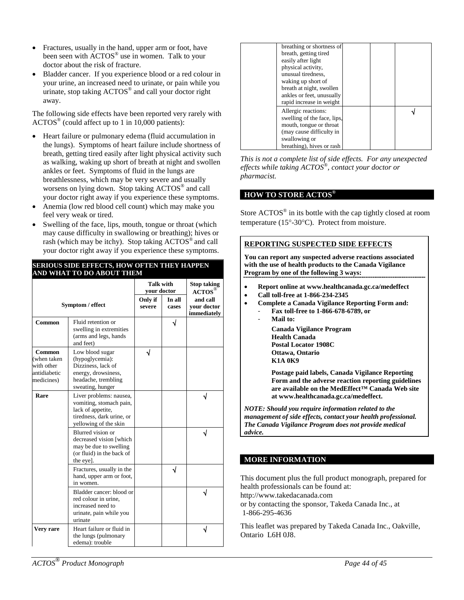- Fractures, usually in the hand, upper arm or foot, have been seen with ACTOS® use in women. Talk to your doctor about the risk of fracture.
- Bladder cancer. If you experience blood or a red colour in your urine, an increased need to urinate, or pain while you urinate, stop taking  $\angle ACTOS^{\circledcirc}$  and call your doctor right away.

The following side effects have been reported very rarely with  $\text{ACTOS}^{\circledast}$  (could affect up to 1 in 10,000 patients):

- Heart failure or pulmonary edema (fluid accumulation in the lungs). Symptoms of heart failure include shortness of breath, getting tired easily after light physical activity such as walking, waking up short of breath at night and swollen ankles or feet. Symptoms of fluid in the lungs are breathlessness, which may be very severe and usually worsens on lying down. Stop taking ACTOS® and call your doctor right away if you experience these symptoms.
- Anemia (low red blood cell count) which may make you feel very weak or tired.
- Swelling of the face, lips, mouth, tongue or throat (which may cause difficulty in swallowing or breathing); hives or rash (which may be itchy). Stop taking ACTOS® and call your doctor right away if you experience these symptoms.

|                                                                   |                                                                                                                               | <b>Talk with</b><br>vour doctor |                 | <b>Stop taking</b><br>$\mathbf{A}\mathbf{C}\mathbf{T}\mathbf{O}\mathbf{S}^{\mathfrak{C}}$ |
|-------------------------------------------------------------------|-------------------------------------------------------------------------------------------------------------------------------|---------------------------------|-----------------|-------------------------------------------------------------------------------------------|
|                                                                   | Symptom / effect                                                                                                              | Only if<br>severe               | In all<br>cases | and call<br>vour doctor<br>immediately                                                    |
| Common                                                            | Fluid retention or<br>swelling in extremities<br>(arms and legs, hands<br>and feet)                                           |                                 |                 |                                                                                           |
| Common<br>(when taken<br>with other<br>antidiabetic<br>medicines) | Low blood sugar<br>(hypoglycemia):<br>Dizziness, lack of<br>energy, drowsiness,<br>headache, trembling<br>sweating, hunger    |                                 |                 |                                                                                           |
| Rare                                                              | Liver problems: nausea,<br>vomiting, stomach pain,<br>lack of appetite,<br>tiredness, dark urine, or<br>yellowing of the skin |                                 |                 |                                                                                           |
|                                                                   | Blurred vision or<br>decreased vision [which<br>may be due to swelling<br>(or fluid) in the back of<br>the eye].              |                                 |                 |                                                                                           |
|                                                                   | Fractures, usually in the<br>hand, upper arm or foot,<br>in women.                                                            |                                 |                 |                                                                                           |
|                                                                   | Bladder cancer: blood or<br>red colour in urine.<br>increased need to<br>urinate, pain while you<br>urinate                   |                                 |                 |                                                                                           |
| Very rare                                                         | Heart failure or fluid in<br>the lungs (pulmonary<br>edema): trouble                                                          |                                 |                 |                                                                                           |

#### **SERIOUS SIDE EFFECTS, HOW OFTEN THEY HAPPEN AND WHAT TO DO ABOUT THEM**

| breathing or shortness of<br>breath, getting tired<br>easily after light<br>physical activity,<br>unusual tiredness.<br>waking up short of<br>breath at night, swollen<br>ankles or feet, unusually |  |  |
|-----------------------------------------------------------------------------------------------------------------------------------------------------------------------------------------------------|--|--|
| rapid increase in weight<br>Allergic reactions:<br>swelling of the face, lips,<br>mouth, tongue or throat<br>(may cause difficulty in<br>swallowing or<br>breathing), hives or rash                 |  |  |

*This is not a complete list of side effects. For any unexpected effects while taking ACTOS*®*, contact your doctor or pharmacist.*

#### **HOW TO STORE ACTOS®**

Store ACTOS® in its bottle with the cap tightly closed at room temperature (15°-30°C). Protect from moisture.

#### **REPORTING SUSPECTED SIDE EFFECTS**

**You can report any suspected adverse reactions associated with the use of health products to the Canada Vigilance Program by one of the following 3 ways:** 

- **Report online at www.healthcanada.gc.ca/medeffect**
- **Call toll-free at 1-866-234-2345**
- **Complete a Canada Vigilance Reporting Form and:**
	- **Fax toll-free to 1-866-678-6789, or**
		- **Mail to: Canada Vigilance Program Health Canada Postal Locator 1908C Ottawa, Ontario K1A 0K9**

**Postage paid labels, Canada Vigilance Reporting Form and the adverse reaction reporting guidelines are available on the MedEffect™ Canada Web site at www.healthcanada.gc.ca/medeffect.**

*NOTE: Should you require information related to the management of side effects, contact your health professional. The Canada Vigilance Program does not provide medical advice.*

#### **MORE INFORMATION**

[This](http://this/) document plus the full product monograph, prepared for health professionals can be found at:

http://www.takedacanada.com

or by contacting the sponsor, Takeda Canada Inc., at 1-866-295-4636

This leaflet was prepared by Takeda Canada Inc., Oakville, Ontario L6H 0J8.